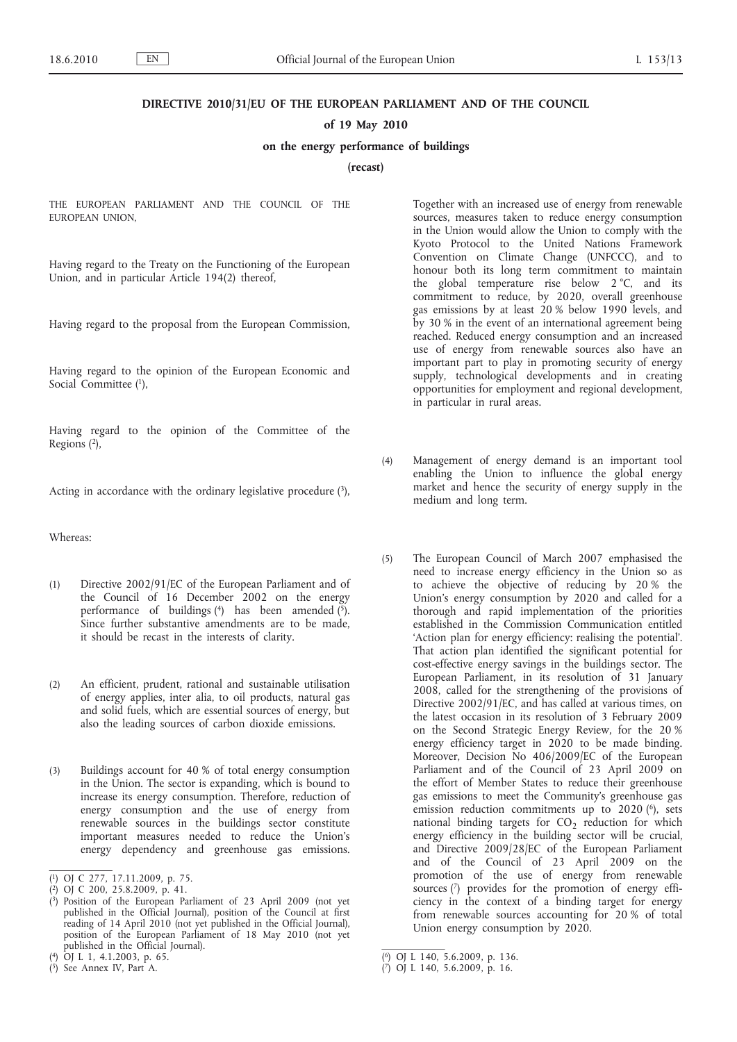# **DIRECTIVE 2010/31/EU OF THE EUROPEAN PARLIAMENT AND OF THE COUNCIL**

## **of 19 May 2010**

## **on the energy performance of buildings**

**(recast)**

THE EUROPEAN PARLIAMENT AND THE COUNCIL OF THE EUROPEAN UNION,

Having regard to the Treaty on the Functioning of the European Union, and in particular Article 194(2) thereof,

Having regard to the proposal from the European Commission,

Having regard to the opinion of the European Economic and Social Committee (1),

Having regard to the opinion of the Committee of the Regions (2),

Acting in accordance with the ordinary legislative procedure  $(3)$ ,

Whereas:

- (1) Directive 2002/91/EC of the European Parliament and of the Council of 16 December 2002 on the energy performance of buildings  $(4)$  has been amended  $(5)$ . Since further substantive amendments are to be made, it should be recast in the interests of clarity.
- (2) An efficient, prudent, rational and sustainable utilisation of energy applies, inter alia, to oil products, natural gas and solid fuels, which are essential sources of energy, but also the leading sources of carbon dioxide emissions.
- (3) Buildings account for 40 % of total energy consumption in the Union. The sector is expanding, which is bound to increase its energy consumption. Therefore, reduction of energy consumption and the use of energy from renewable sources in the buildings sector constitute important measures needed to reduce the Union's energy dependency and greenhouse gas emissions.

Together with an increased use of energy from renewable sources, measures taken to reduce energy consumption in the Union would allow the Union to comply with the Kyoto Protocol to the United Nations Framework Convention on Climate Change (UNFCCC), and to honour both its long term commitment to maintain the global temperature rise below 2 °C, and its commitment to reduce, by 2020, overall greenhouse gas emissions by at least 20 % below 1990 levels, and by 30 % in the event of an international agreement being reached. Reduced energy consumption and an increased use of energy from renewable sources also have an important part to play in promoting security of energy supply, technological developments and in creating opportunities for employment and regional development, in particular in rural areas.

- (4) Management of energy demand is an important tool enabling the Union to influence the global energy market and hence the security of energy supply in the medium and long term.
- (5) The European Council of March 2007 emphasised the need to increase energy efficiency in the Union so as to achieve the objective of reducing by 20 % the Union's energy consumption by 2020 and called for a thorough and rapid implementation of the priorities established in the Commission Communication entitled 'Action plan for energy efficiency: realising the potential'. That action plan identified the significant potential for cost-effective energy savings in the buildings sector. The European Parliament, in its resolution of 31 January 2008, called for the strengthening of the provisions of Directive 2002/91/EC, and has called at various times, on the latest occasion in its resolution of 3 February 2009 on the Second Strategic Energy Review, for the 20 % energy efficiency target in 2020 to be made binding. Moreover, Decision No 406/2009/EC of the European Parliament and of the Council of 23 April 2009 on the effort of Member States to reduce their greenhouse gas emissions to meet the Community's greenhouse gas emission reduction commitments up to  $2020$  ( $^{6}$ ), sets national binding targets for  $CO<sub>2</sub>$  reduction for which energy efficiency in the building sector will be crucial, and Directive 2009/28/EC of the European Parliament and of the Council of 23 April 2009 on the promotion of the use of energy from renewable sources (7) provides for the promotion of energy efficiency in the context of a binding target for energy from renewable sources accounting for 20 % of total Union energy consumption by 2020.

<sup>(</sup> 1) OJ C 277, 17.11.2009, p. 75.

<sup>(</sup> 2) OJ C 200, 25.8.2009, p. 41.

<sup>(</sup> 3) Position of the European Parliament of 23 April 2009 (not yet published in the Official Journal), position of the Council at first reading of 14 April 2010 (not yet published in the Official Journal), position of the European Parliament of 18 May 2010 (not yet published in the Official Journal).

<sup>(</sup> 4) OJ L 1, 4.1.2003, p. 65.

<sup>(</sup> 5) See Annex IV, Part A.

<sup>(</sup> 6) OJ L 140, 5.6.2009, p. 136.

<sup>(</sup> 7) OJ L 140, 5.6.2009, p. 16.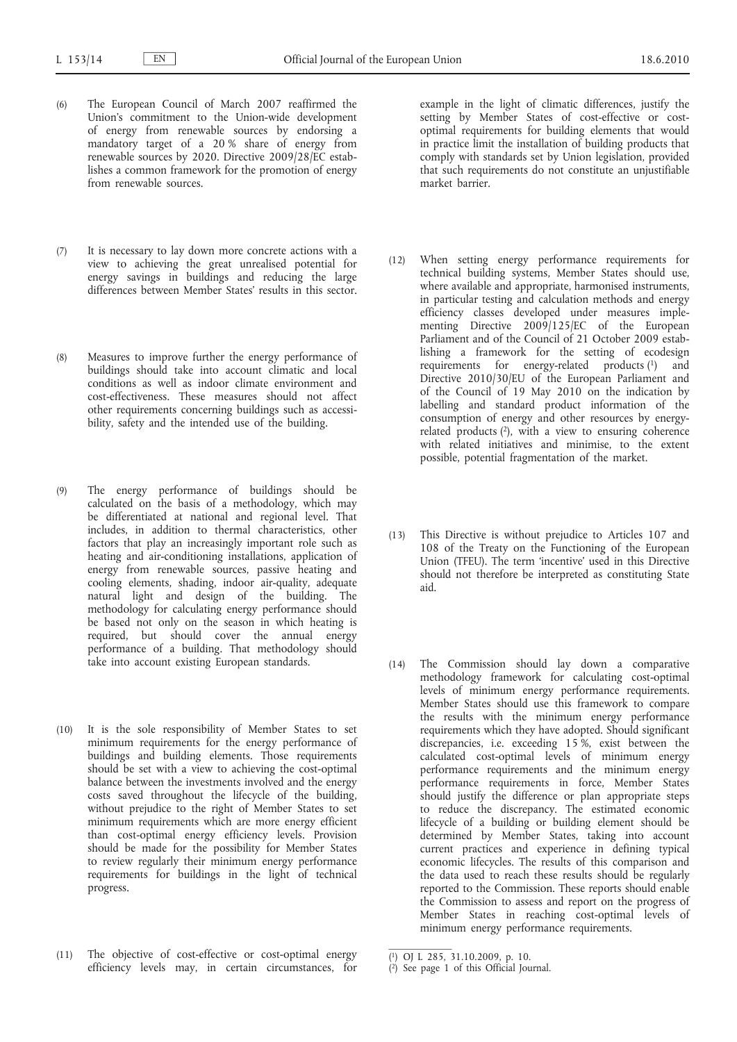- (6) The European Council of March 2007 reaffirmed the Union's commitment to the Union-wide development of energy from renewable sources by endorsing a mandatory target of a 20 % share of energy from renewable sources by 2020. Directive 2009/28/EC establishes a common framework for the promotion of energy from renewable sources.
- (7) It is necessary to lay down more concrete actions with a view to achieving the great unrealised potential for energy savings in buildings and reducing the large differences between Member States' results in this sector.
- (8) Measures to improve further the energy performance of buildings should take into account climatic and local conditions as well as indoor climate environment and cost-effectiveness. These measures should not affect other requirements concerning buildings such as accessibility, safety and the intended use of the building.
- (9) The energy performance of buildings should be calculated on the basis of a methodology, which may be differentiated at national and regional level. That includes, in addition to thermal characteristics, other factors that play an increasingly important role such as heating and air-conditioning installations, application of energy from renewable sources, passive heating and cooling elements, shading, indoor air-quality, adequate natural light and design of the building. The methodology for calculating energy performance should be based not only on the season in which heating is required, but should cover the annual energy performance of a building. That methodology should take into account existing European standards.
- (10) It is the sole responsibility of Member States to set minimum requirements for the energy performance of buildings and building elements. Those requirements should be set with a view to achieving the cost-optimal balance between the investments involved and the energy costs saved throughout the lifecycle of the building, without prejudice to the right of Member States to set minimum requirements which are more energy efficient than cost-optimal energy efficiency levels. Provision should be made for the possibility for Member States to review regularly their minimum energy performance requirements for buildings in the light of technical progress.
- (11) The objective of cost-effective or cost-optimal energy efficiency levels may, in certain circumstances, for

example in the light of climatic differences, justify the setting by Member States of cost-effective or costoptimal requirements for building elements that would in practice limit the installation of building products that comply with standards set by Union legislation, provided that such requirements do not constitute an unjustifiable market barrier.

- (12) When setting energy performance requirements for technical building systems, Member States should use, where available and appropriate, harmonised instruments, in particular testing and calculation methods and energy efficiency classes developed under measures implementing Directive 2009/125/EC of the European Parliament and of the Council of 21 October 2009 establishing a framework for the setting of ecodesign requirements for energy-related products (1) and Directive 2010/30/EU of the European Parliament and of the Council of 19 May 2010 on the indication by labelling and standard product information of the consumption of energy and other resources by energyrelated products  $(2)$ , with a view to ensuring coherence with related initiatives and minimise, to the extent possible, potential fragmentation of the market.
- (13) This Directive is without prejudice to Articles 107 and 108 of the Treaty on the Functioning of the European Union (TFEU). The term 'incentive' used in this Directive should not therefore be interpreted as constituting State aid.
- (14) The Commission should lay down a comparative methodology framework for calculating cost-optimal levels of minimum energy performance requirements. Member States should use this framework to compare the results with the minimum energy performance requirements which they have adopted. Should significant discrepancies, i.e. exceeding 15 %, exist between the calculated cost-optimal levels of minimum energy performance requirements and the minimum energy performance requirements in force, Member States should justify the difference or plan appropriate steps to reduce the discrepancy. The estimated economic lifecycle of a building or building element should be determined by Member States, taking into account current practices and experience in defining typical economic lifecycles. The results of this comparison and the data used to reach these results should be regularly reported to the Commission. These reports should enable the Commission to assess and report on the progress of Member States in reaching cost-optimal levels of minimum energy performance requirements.

<sup>(</sup> 1) OJ L 285, 31.10.2009, p. 10.

<sup>(</sup> 2) See page 1 of this Official Journal.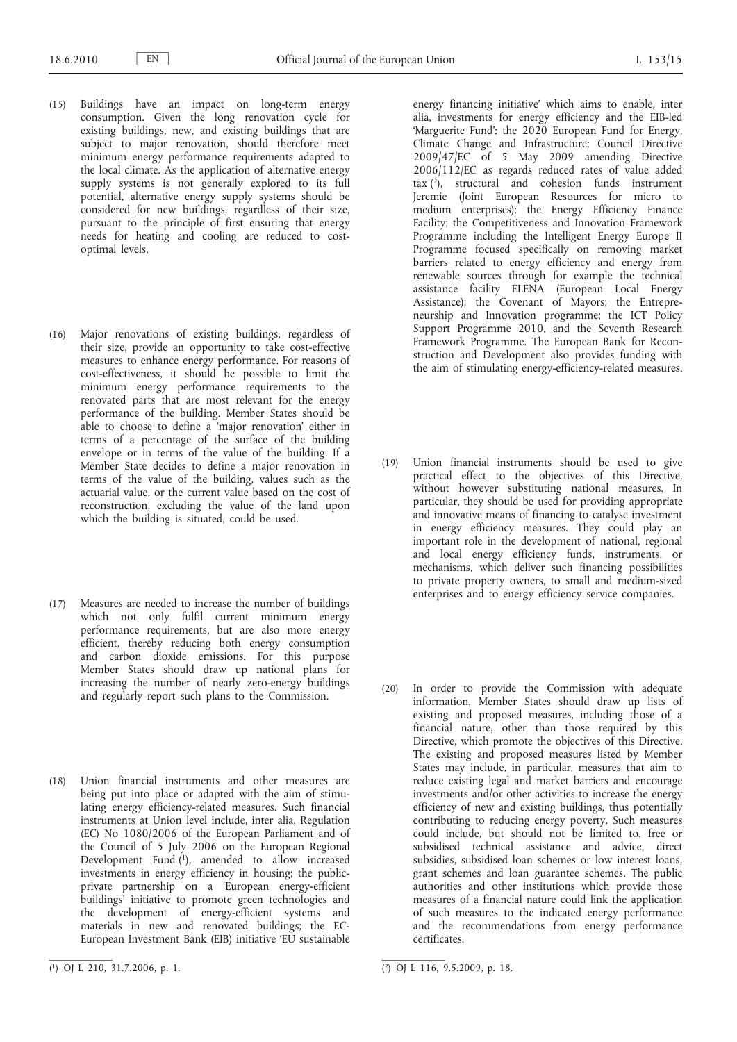- (15) Buildings have an impact on long-term energy consumption. Given the long renovation cycle for existing buildings, new, and existing buildings that are subject to major renovation, should therefore meet minimum energy performance requirements adapted to the local climate. As the application of alternative energy supply systems is not generally explored to its full potential, alternative energy supply systems should be considered for new buildings, regardless of their size, pursuant to the principle of first ensuring that energy needs for heating and cooling are reduced to costoptimal levels.
- (16) Major renovations of existing buildings, regardless of their size, provide an opportunity to take cost-effective measures to enhance energy performance. For reasons of cost-effectiveness, it should be possible to limit the minimum energy performance requirements to the renovated parts that are most relevant for the energy performance of the building. Member States should be able to choose to define a 'major renovation' either in terms of a percentage of the surface of the building envelope or in terms of the value of the building. If a Member State decides to define a major renovation in terms of the value of the building, values such as the actuarial value, or the current value based on the cost of reconstruction, excluding the value of the land upon which the building is situated, could be used.
- (17) Measures are needed to increase the number of buildings which not only fulfil current minimum energy performance requirements, but are also more energy efficient, thereby reducing both energy consumption and carbon dioxide emissions. For this purpose Member States should draw up national plans for increasing the number of nearly zero-energy buildings and regularly report such plans to the Commission.
- (18) Union financial instruments and other measures are being put into place or adapted with the aim of stimulating energy efficiency-related measures. Such financial instruments at Union level include, inter alia, Regulation (EC) No 1080/2006 of the European Parliament and of the Council of 5 July 2006 on the European Regional Development Fund  $(1)$ , amended to allow increased investments in energy efficiency in housing; the publicprivate partnership on a 'European energy-efficient buildings' initiative to promote green technologies and the development of energy-efficient systems and materials in new and renovated buildings; the EC-European Investment Bank (EIB) initiative 'EU sustainable

energy financing initiative' which aims to enable, inter alia, investments for energy efficiency and the EIB-led 'Marguerite Fund': the 2020 European Fund for Energy, Climate Change and Infrastructure; Council Directive 2009/47/EC of 5 May 2009 amending Directive 2006/112/EC as regards reduced rates of value added  $\text{tax}(2)$ , structural and cohesion funds instrument Jeremie (Joint European Resources for micro to medium enterprises); the Energy Efficiency Finance Facility; the Competitiveness and Innovation Framework Programme including the Intelligent Energy Europe II Programme focused specifically on removing market barriers related to energy efficiency and energy from renewable sources through for example the technical assistance facility ELENA (European Local Energy Assistance); the Covenant of Mayors; the Entrepreneurship and Innovation programme; the ICT Policy Support Programme 2010, and the Seventh Research Framework Programme. The European Bank for Reconstruction and Development also provides funding with the aim of stimulating energy-efficiency-related measures.

- (19) Union financial instruments should be used to give practical effect to the objectives of this Directive, without however substituting national measures. In particular, they should be used for providing appropriate and innovative means of financing to catalyse investment in energy efficiency measures. They could play an important role in the development of national, regional and local energy efficiency funds, instruments, or mechanisms, which deliver such financing possibilities to private property owners, to small and medium-sized enterprises and to energy efficiency service companies.
- (20) In order to provide the Commission with adequate information. Member States should draw up lists of existing and proposed measures, including those of a financial nature, other than those required by this Directive, which promote the objectives of this Directive. The existing and proposed measures listed by Member States may include, in particular, measures that aim to reduce existing legal and market barriers and encourage investments and/or other activities to increase the energy efficiency of new and existing buildings, thus potentially contributing to reducing energy poverty. Such measures could include, but should not be limited to, free or subsidised technical assistance and advice, direct subsidies, subsidised loan schemes or low interest loans, grant schemes and loan guarantee schemes. The public authorities and other institutions which provide those measures of a financial nature could link the application of such measures to the indicated energy performance and the recommendations from energy performance certificates.

<sup>(</sup> 1) OJ L 210, 31.7.2006, p. 1. (2) OJ L 116, 9.5.2009, p. 18.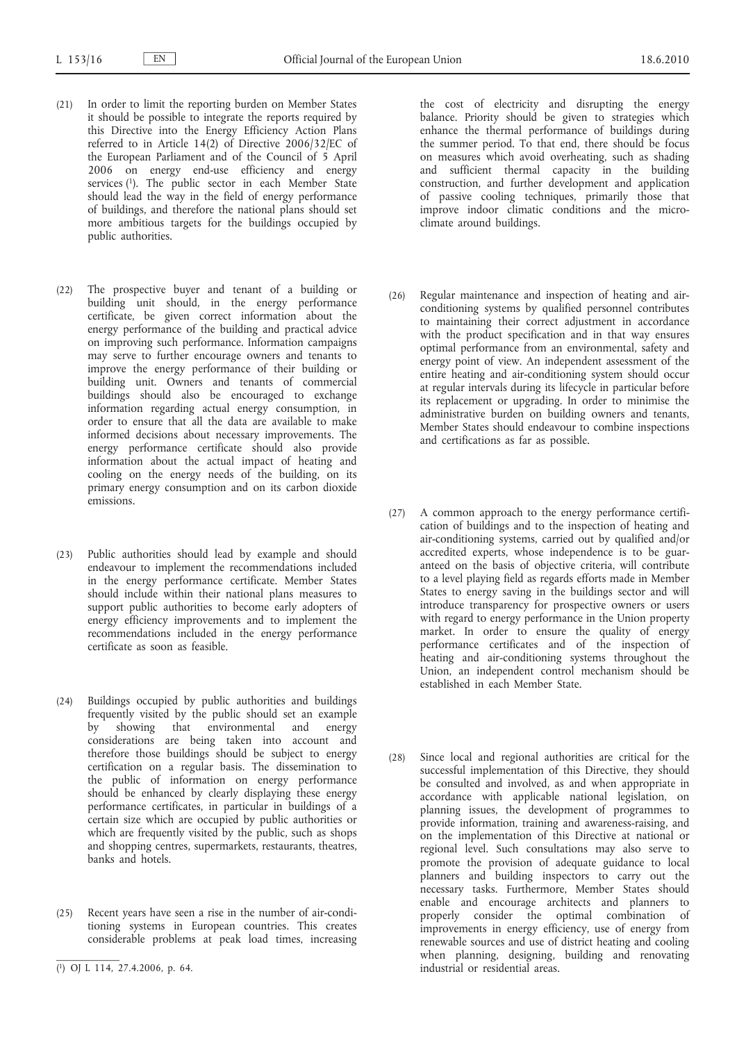- (21) In order to limit the reporting burden on Member States it should be possible to integrate the reports required by this Directive into the Energy Efficiency Action Plans referred to in Article 14(2) of Directive 2006/32/EC of the European Parliament and of the Council of 5 April 2006 on energy end-use efficiency and energy services (1). The public sector in each Member State should lead the way in the field of energy performance of buildings, and therefore the national plans should set more ambitious targets for the buildings occupied by public authorities.
- (22) The prospective buyer and tenant of a building or building unit should, in the energy performance certificate, be given correct information about the energy performance of the building and practical advice on improving such performance. Information campaigns may serve to further encourage owners and tenants to improve the energy performance of their building or building unit. Owners and tenants of commercial buildings should also be encouraged to exchange information regarding actual energy consumption, in order to ensure that all the data are available to make informed decisions about necessary improvements. The energy performance certificate should also provide information about the actual impact of heating and cooling on the energy needs of the building, on its primary energy consumption and on its carbon dioxide emissions.
- (23) Public authorities should lead by example and should endeavour to implement the recommendations included in the energy performance certificate. Member States should include within their national plans measures to support public authorities to become early adopters of energy efficiency improvements and to implement the recommendations included in the energy performance certificate as soon as feasible.
- (24) Buildings occupied by public authorities and buildings frequently visited by the public should set an example by showing that environmental and energy considerations are being taken into account and therefore those buildings should be subject to energy certification on a regular basis. The dissemination to the public of information on energy performance should be enhanced by clearly displaying these energy performance certificates, in particular in buildings of a certain size which are occupied by public authorities or which are frequently visited by the public, such as shops and shopping centres, supermarkets, restaurants, theatres, banks and hotels.
- (25) Recent years have seen a rise in the number of air-conditioning systems in European countries. This creates considerable problems at peak load times, increasing

the cost of electricity and disrupting the energy balance. Priority should be given to strategies which enhance the thermal performance of buildings during the summer period. To that end, there should be focus on measures which avoid overheating, such as shading and sufficient thermal capacity in the building construction, and further development and application of passive cooling techniques, primarily those that improve indoor climatic conditions and the microclimate around buildings.

- (26) Regular maintenance and inspection of heating and airconditioning systems by qualified personnel contributes to maintaining their correct adjustment in accordance with the product specification and in that way ensures optimal performance from an environmental, safety and energy point of view. An independent assessment of the entire heating and air-conditioning system should occur at regular intervals during its lifecycle in particular before its replacement or upgrading. In order to minimise the administrative burden on building owners and tenants, Member States should endeavour to combine inspections and certifications as far as possible.
- (27) A common approach to the energy performance certification of buildings and to the inspection of heating and air-conditioning systems, carried out by qualified and/or accredited experts, whose independence is to be guaranteed on the basis of objective criteria, will contribute to a level playing field as regards efforts made in Member States to energy saving in the buildings sector and will introduce transparency for prospective owners or users with regard to energy performance in the Union property market. In order to ensure the quality of energy performance certificates and of the inspection of heating and air-conditioning systems throughout the Union, an independent control mechanism should be established in each Member State.
- (28) Since local and regional authorities are critical for the successful implementation of this Directive, they should be consulted and involved, as and when appropriate in accordance with applicable national legislation, on planning issues, the development of programmes to provide information, training and awareness-raising, and on the implementation of this Directive at national or regional level. Such consultations may also serve to promote the provision of adequate guidance to local planners and building inspectors to carry out the necessary tasks. Furthermore, Member States should enable and encourage architects and planners to properly consider the optimal combination of improvements in energy efficiency, use of energy from renewable sources and use of district heating and cooling when planning, designing, building and renovating industrial or residential areas.

<sup>(</sup> 1) OJ L 114, 27.4.2006, p. 64.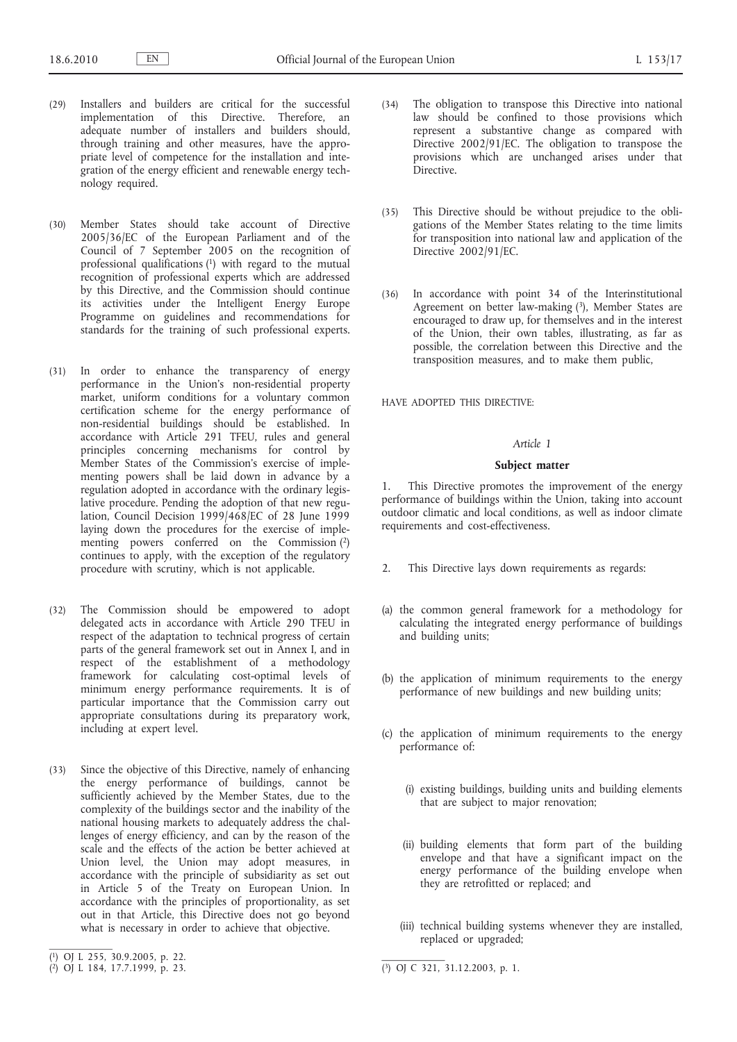- (29) Installers and builders are critical for the successful implementation of this Directive. Therefore, an adequate number of installers and builders should, through training and other measures, have the appropriate level of competence for the installation and integration of the energy efficient and renewable energy technology required.
- (30) Member States should take account of Directive 2005/36/EC of the European Parliament and of the Council of 7 September 2005 on the recognition of professional qualifications (1) with regard to the mutual recognition of professional experts which are addressed by this Directive, and the Commission should continue its activities under the Intelligent Energy Europe Programme on guidelines and recommendations for standards for the training of such professional experts.
- (31) In order to enhance the transparency of energy performance in the Union's non-residential property market, uniform conditions for a voluntary common certification scheme for the energy performance of non-residential buildings should be established. In accordance with Article 291 TFEU, rules and general principles concerning mechanisms for control by Member States of the Commission's exercise of implementing powers shall be laid down in advance by a regulation adopted in accordance with the ordinary legislative procedure. Pending the adoption of that new regulation, Council Decision 1999/468/EC of 28 June 1999 laying down the procedures for the exercise of implementing powers conferred on the Commission (2) continues to apply, with the exception of the regulatory procedure with scrutiny, which is not applicable.
- (32) The Commission should be empowered to adopt delegated acts in accordance with Article 290 TFEU in respect of the adaptation to technical progress of certain parts of the general framework set out in Annex I, and in respect of the establishment of a methodology framework for calculating cost-optimal levels of minimum energy performance requirements. It is of particular importance that the Commission carry out appropriate consultations during its preparatory work, including at expert level.
- (33) Since the objective of this Directive, namely of enhancing the energy performance of buildings, cannot be sufficiently achieved by the Member States, due to the complexity of the buildings sector and the inability of the national housing markets to adequately address the challenges of energy efficiency, and can by the reason of the scale and the effects of the action be better achieved at Union level, the Union may adopt measures, in accordance with the principle of subsidiarity as set out in Article 5 of the Treaty on European Union. In accordance with the principles of proportionality, as set out in that Article, this Directive does not go beyond what is necessary in order to achieve that objective.
- (34) The obligation to transpose this Directive into national law should be confined to those provisions which represent a substantive change as compared with Directive 2002/91/EC. The obligation to transpose the provisions which are unchanged arises under that Directive.
- (35) This Directive should be without prejudice to the obligations of the Member States relating to the time limits for transposition into national law and application of the Directive 2002/91/EC.
- (36) In accordance with point 34 of the Interinstitutional Agreement on better law-making (3), Member States are encouraged to draw up, for themselves and in the interest of the Union, their own tables, illustrating, as far as possible, the correlation between this Directive and the transposition measures, and to make them public,

HAVE ADOPTED THIS DIRECTIVE:

### *Article 1*

### **Subject matter**

1. This Directive promotes the improvement of the energy performance of buildings within the Union, taking into account outdoor climatic and local conditions, as well as indoor climate requirements and cost-effectiveness.

- 2. This Directive lays down requirements as regards:
- (a) the common general framework for a methodology for calculating the integrated energy performance of buildings and building units;
- (b) the application of minimum requirements to the energy performance of new buildings and new building units;
- (c) the application of minimum requirements to the energy performance of:
	- (i) existing buildings, building units and building elements that are subject to major renovation;
	- (ii) building elements that form part of the building envelope and that have a significant impact on the energy performance of the building envelope when they are retrofitted or replaced; and
	- (iii) technical building systems whenever they are installed, replaced or upgraded;

<sup>(</sup> 1) OJ L 255, 30.9.2005, p. 22.

 $(2)$  OJ L 184, 17.7.1999, p. 23.

 $\overline{(^3)}$  OJ C 321, 31.12.2003, p. 1.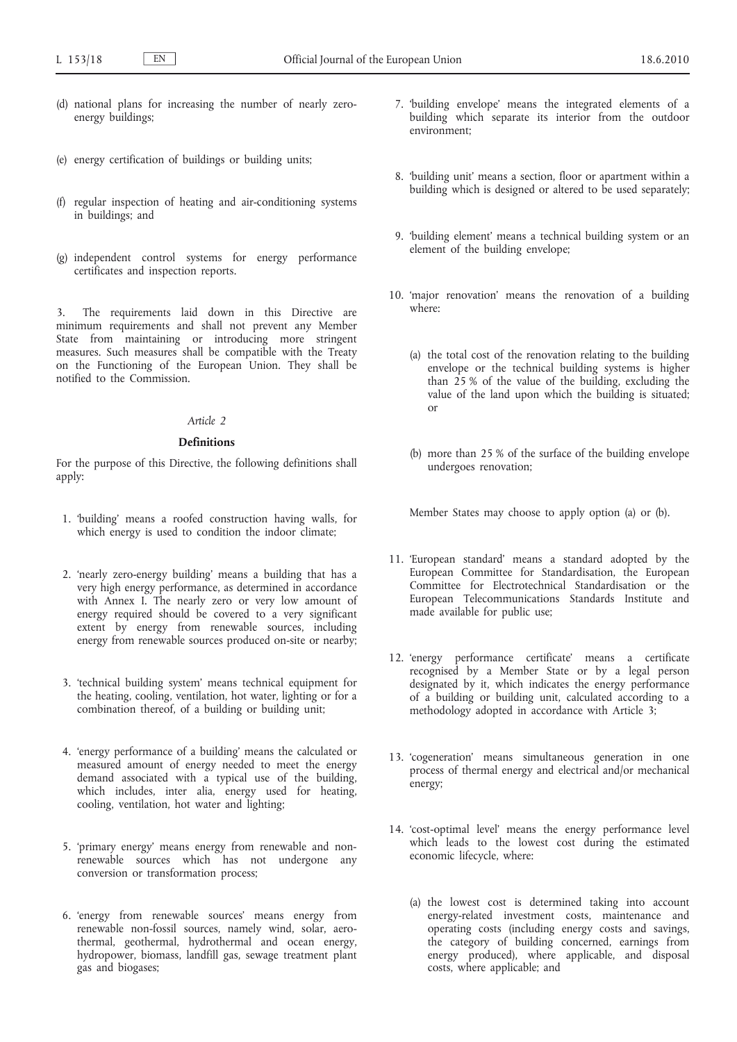- (d) national plans for increasing the number of nearly zeroenergy buildings;
- (e) energy certification of buildings or building units;
- (f) regular inspection of heating and air-conditioning systems in buildings; and
- (g) independent control systems for energy performance certificates and inspection reports.

3. The requirements laid down in this Directive are minimum requirements and shall not prevent any Member State from maintaining or introducing more stringent measures. Such measures shall be compatible with the Treaty on the Functioning of the European Union. They shall be notified to the Commission.

# *Article 2*

# **Definitions**

For the purpose of this Directive, the following definitions shall apply:

- 1. 'building' means a roofed construction having walls, for which energy is used to condition the indoor climate;
- 2. 'nearly zero-energy building' means a building that has a very high energy performance, as determined in accordance with Annex I. The nearly zero or very low amount of energy required should be covered to a very significant extent by energy from renewable sources, including energy from renewable sources produced on-site or nearby;
- 3. 'technical building system' means technical equipment for the heating, cooling, ventilation, hot water, lighting or for a combination thereof, of a building or building unit;
- 4. 'energy performance of a building' means the calculated or measured amount of energy needed to meet the energy demand associated with a typical use of the building, which includes, inter alia, energy used for heating, cooling, ventilation, hot water and lighting;
- 5. 'primary energy' means energy from renewable and nonrenewable sources which has not undergone any conversion or transformation process;
- 6. 'energy from renewable sources' means energy from renewable non-fossil sources, namely wind, solar, aerothermal, geothermal, hydrothermal and ocean energy, hydropower, biomass, landfill gas, sewage treatment plant gas and biogases;
- 7. 'building envelope' means the integrated elements of a building which separate its interior from the outdoor environment;
- 8. 'building unit' means a section, floor or apartment within a building which is designed or altered to be used separately;
- 9. 'building element' means a technical building system or an element of the building envelope;
- 10. 'major renovation' means the renovation of a building where:
	- (a) the total cost of the renovation relating to the building envelope or the technical building systems is higher than  $25%$  of the value of the building, excluding the value of the land upon which the building is situated; or
	- (b) more than 25 % of the surface of the building envelope undergoes renovation;

Member States may choose to apply option (a) or (b).

- 11. 'European standard' means a standard adopted by the European Committee for Standardisation, the European Committee for Electrotechnical Standardisation or the European Telecommunications Standards Institute and made available for public use;
- 12. 'energy performance certificate' means a certificate recognised by a Member State or by a legal person designated by it, which indicates the energy performance of a building or building unit, calculated according to a methodology adopted in accordance with Article 3;
- 13. 'cogeneration' means simultaneous generation in one process of thermal energy and electrical and/or mechanical energy;
- 14. 'cost-optimal level' means the energy performance level which leads to the lowest cost during the estimated economic lifecycle, where:
	- (a) the lowest cost is determined taking into account energy-related investment costs, maintenance and operating costs (including energy costs and savings, the category of building concerned, earnings from energy produced), where applicable, and disposal costs, where applicable; and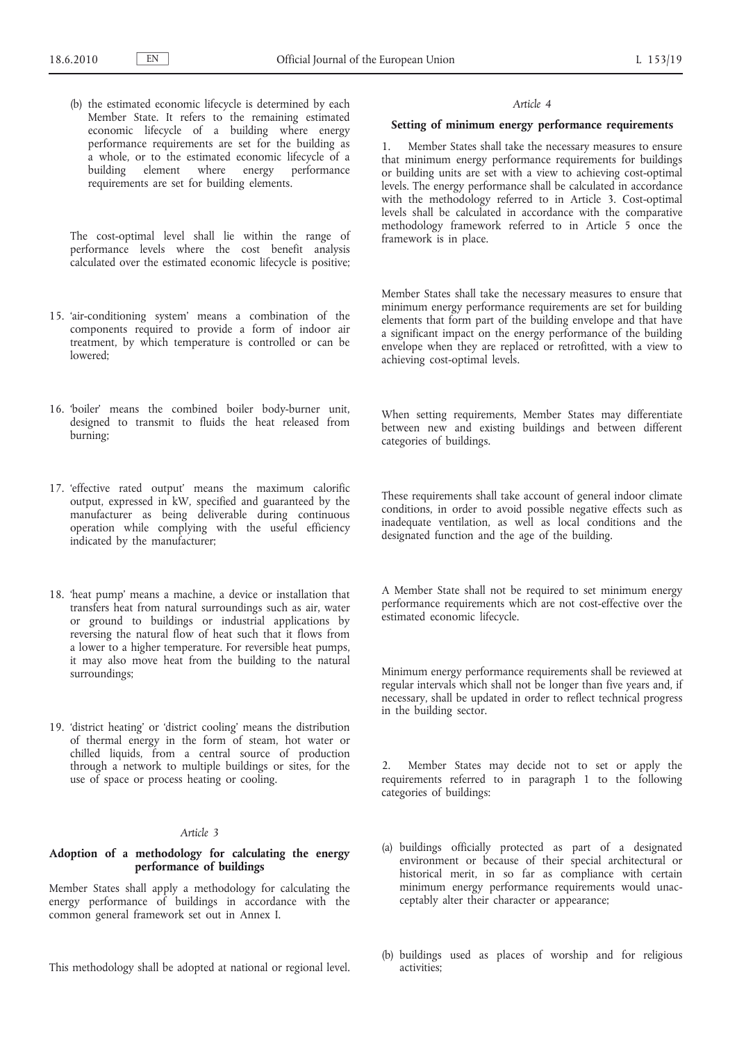(b) the estimated economic lifecycle is determined by each Member State. It refers to the remaining estimated economic lifecycle of a building where energy performance requirements are set for the building as a whole, or to the estimated economic lifecycle of a building element where energy performance requirements are set for building elements.

The cost-optimal level shall lie within the range of performance levels where the cost benefit analysis calculated over the estimated economic lifecycle is positive;

- 15. 'air-conditioning system' means a combination of the components required to provide a form of indoor air treatment, by which temperature is controlled or can be lowered;
- 16. 'boiler' means the combined boiler body-burner unit, designed to transmit to fluids the heat released from burning;
- 17. 'effective rated output' means the maximum calorific output, expressed in kW, specified and guaranteed by the manufacturer as being deliverable during continuous operation while complying with the useful efficiency indicated by the manufacturer;
- 18. 'heat pump' means a machine, a device or installation that transfers heat from natural surroundings such as air, water or ground to buildings or industrial applications by reversing the natural flow of heat such that it flows from a lower to a higher temperature. For reversible heat pumps, it may also move heat from the building to the natural surroundings;
- 19. 'district heating' or 'district cooling' means the distribution of thermal energy in the form of steam, hot water or chilled liquids, from a central source of production through a network to multiple buildings or sites, for the use of space or process heating or cooling.

# *Article 3*

# **Adoption of a methodology for calculating the energy performance of buildings**

Member States shall apply a methodology for calculating the energy performance of buildings in accordance with the common general framework set out in Annex I.

This methodology shall be adopted at national or regional level.

#### *Article 4*

### **Setting of minimum energy performance requirements**

1. Member States shall take the necessary measures to ensure that minimum energy performance requirements for buildings or building units are set with a view to achieving cost-optimal levels. The energy performance shall be calculated in accordance with the methodology referred to in Article 3. Cost-optimal levels shall be calculated in accordance with the comparative methodology framework referred to in Article 5 once the framework is in place.

Member States shall take the necessary measures to ensure that minimum energy performance requirements are set for building elements that form part of the building envelope and that have a significant impact on the energy performance of the building envelope when they are replaced or retrofitted, with a view to achieving cost-optimal levels.

When setting requirements, Member States may differentiate between new and existing buildings and between different categories of buildings.

These requirements shall take account of general indoor climate conditions, in order to avoid possible negative effects such as inadequate ventilation, as well as local conditions and the designated function and the age of the building.

A Member State shall not be required to set minimum energy performance requirements which are not cost-effective over the estimated economic lifecycle.

Minimum energy performance requirements shall be reviewed at regular intervals which shall not be longer than five years and, if necessary, shall be updated in order to reflect technical progress in the building sector.

2. Member States may decide not to set or apply the requirements referred to in paragraph 1 to the following categories of buildings:

- (a) buildings officially protected as part of a designated environment or because of their special architectural or historical merit, in so far as compliance with certain minimum energy performance requirements would unacceptably alter their character or appearance;
- (b) buildings used as places of worship and for religious activities;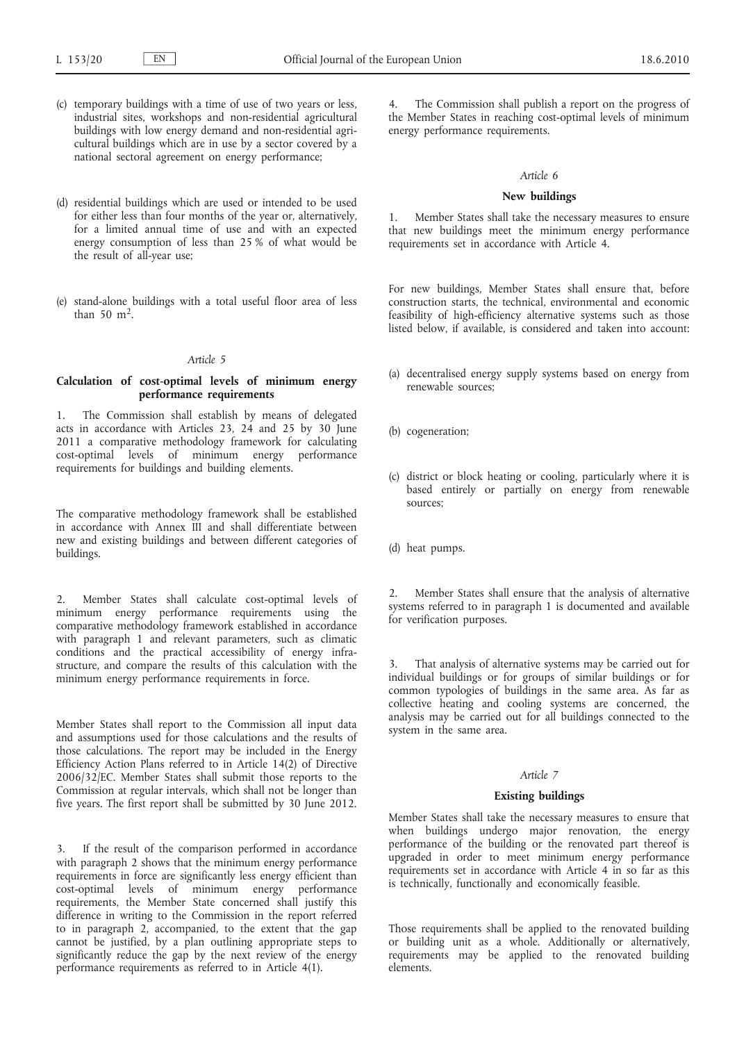- (c) temporary buildings with a time of use of two years or less, industrial sites, workshops and non-residential agricultural buildings with low energy demand and non-residential agricultural buildings which are in use by a sector covered by a national sectoral agreement on energy performance;
- (d) residential buildings which are used or intended to be used for either less than four months of the year or, alternatively, for a limited annual time of use and with an expected energy consumption of less than 25 % of what would be the result of all-year use;
- (e) stand-alone buildings with a total useful floor area of less than  $50 \text{ m}^2$ .

# *Article 5*

# **Calculation of cost-optimal levels of minimum energy performance requirements**

1. The Commission shall establish by means of delegated acts in accordance with Articles 23, 24 and 25 by 30 June 2011 a comparative methodology framework for calculating cost-optimal levels of minimum energy performance requirements for buildings and building elements.

The comparative methodology framework shall be established in accordance with Annex III and shall differentiate between new and existing buildings and between different categories of buildings.

2. Member States shall calculate cost-optimal levels of minimum energy performance requirements using the comparative methodology framework established in accordance with paragraph 1 and relevant parameters, such as climatic conditions and the practical accessibility of energy infrastructure, and compare the results of this calculation with the minimum energy performance requirements in force.

Member States shall report to the Commission all input data and assumptions used for those calculations and the results of those calculations. The report may be included in the Energy Efficiency Action Plans referred to in Article 14(2) of Directive 2006/32/EC. Member States shall submit those reports to the Commission at regular intervals, which shall not be longer than five years. The first report shall be submitted by 30 June 2012.

3. If the result of the comparison performed in accordance with paragraph 2 shows that the minimum energy performance requirements in force are significantly less energy efficient than cost-optimal levels of minimum energy performance requirements, the Member State concerned shall justify this difference in writing to the Commission in the report referred to in paragraph 2, accompanied, to the extent that the gap cannot be justified, by a plan outlining appropriate steps to significantly reduce the gap by the next review of the energy performance requirements as referred to in Article 4(1).

4. The Commission shall publish a report on the progress of the Member States in reaching cost-optimal levels of minimum energy performance requirements.

# *Article 6*

# **New buildings**

1. Member States shall take the necessary measures to ensure that new buildings meet the minimum energy performance requirements set in accordance with Article 4.

For new buildings, Member States shall ensure that, before construction starts, the technical, environmental and economic feasibility of high-efficiency alternative systems such as those listed below, if available, is considered and taken into account:

- (a) decentralised energy supply systems based on energy from renewable sources;
- (b) cogeneration;
- (c) district or block heating or cooling, particularly where it is based entirely or partially on energy from renewable sources;
- (d) heat pumps.

2. Member States shall ensure that the analysis of alternative systems referred to in paragraph 1 is documented and available for verification purposes.

That analysis of alternative systems may be carried out for individual buildings or for groups of similar buildings or for common typologies of buildings in the same area. As far as collective heating and cooling systems are concerned, the analysis may be carried out for all buildings connected to the system in the same area.

# *Article 7*

# **Existing buildings**

Member States shall take the necessary measures to ensure that when buildings undergo major renovation, the energy performance of the building or the renovated part thereof is upgraded in order to meet minimum energy performance requirements set in accordance with Article 4 in so far as this is technically, functionally and economically feasible.

Those requirements shall be applied to the renovated building or building unit as a whole. Additionally or alternatively, requirements may be applied to the renovated building elements.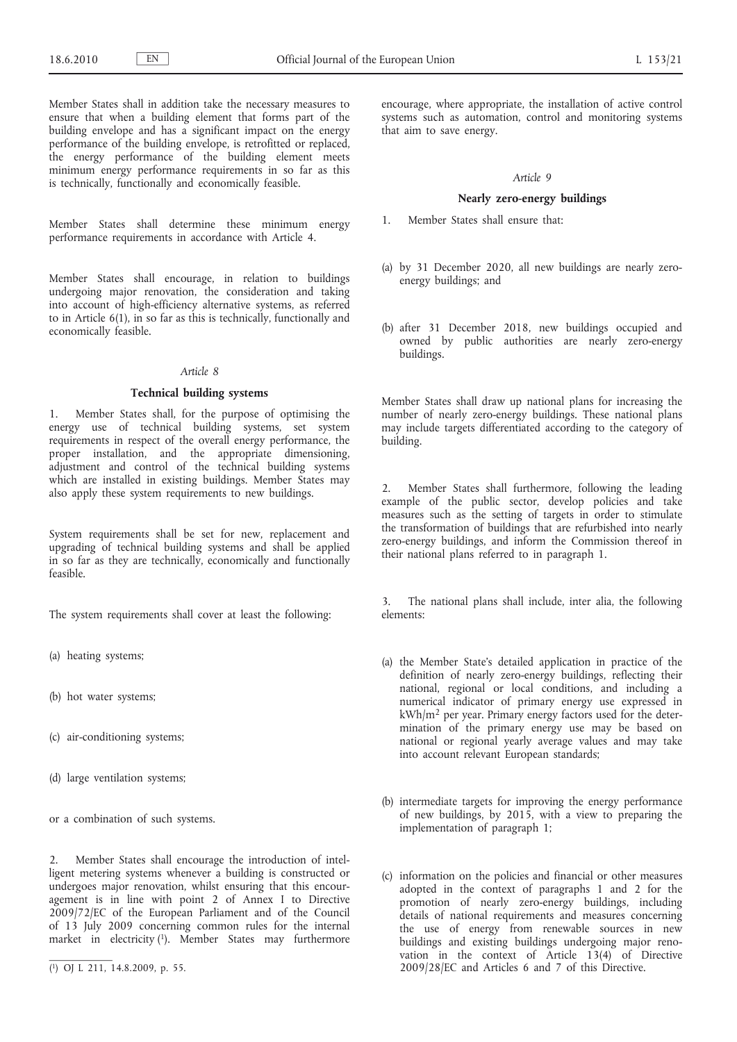Member States shall in addition take the necessary measures to ensure that when a building element that forms part of the building envelope and has a significant impact on the energy performance of the building envelope, is retrofitted or replaced, the energy performance of the building element meets minimum energy performance requirements in so far as this is technically, functionally and economically feasible.

Member States shall determine these minimum energy performance requirements in accordance with Article 4.

Member States shall encourage, in relation to buildings undergoing major renovation, the consideration and taking into account of high-efficiency alternative systems, as referred to in Article 6(1), in so far as this is technically, functionally and economically feasible.

# *Article 8*

# **Technical building systems**

1. Member States shall, for the purpose of optimising the energy use of technical building systems, set system requirements in respect of the overall energy performance, the proper installation, and the appropriate dimensioning, adjustment and control of the technical building systems which are installed in existing buildings. Member States may also apply these system requirements to new buildings.

System requirements shall be set for new, replacement and upgrading of technical building systems and shall be applied in so far as they are technically, economically and functionally feasible.

The system requirements shall cover at least the following:

- (a) heating systems;
- (b) hot water systems;
- (c) air-conditioning systems;
- (d) large ventilation systems;

or a combination of such systems.

2. Member States shall encourage the introduction of intelligent metering systems whenever a building is constructed or undergoes major renovation, whilst ensuring that this encouragement is in line with point 2 of Annex I to Directive 2009/72/EC of the European Parliament and of the Council of 13 July 2009 concerning common rules for the internal market in electricity (1). Member States may furthermore

encourage, where appropriate, the installation of active control systems such as automation, control and monitoring systems that aim to save energy.

# *Article 9*

# **Nearly zero-energy buildings**

1. Member States shall ensure that:

- (a) by 31 December 2020, all new buildings are nearly zeroenergy buildings; and
- (b) after 31 December 2018, new buildings occupied and owned by public authorities are nearly zero-energy buildings.

Member States shall draw up national plans for increasing the number of nearly zero-energy buildings. These national plans may include targets differentiated according to the category of building.

2. Member States shall furthermore, following the leading example of the public sector, develop policies and take measures such as the setting of targets in order to stimulate the transformation of buildings that are refurbished into nearly zero-energy buildings, and inform the Commission thereof in their national plans referred to in paragraph 1.

3. The national plans shall include, inter alia, the following elements:

- (a) the Member State's detailed application in practice of the definition of nearly zero-energy buildings, reflecting their national, regional or local conditions, and including a numerical indicator of primary energy use expressed in kWh/m<sup>2</sup> per year. Primary energy factors used for the determination of the primary energy use may be based on national or regional yearly average values and may take into account relevant European standards;
- (b) intermediate targets for improving the energy performance of new buildings, by 2015, with a view to preparing the implementation of paragraph 1;
- (c) information on the policies and financial or other measures adopted in the context of paragraphs 1 and 2 for the promotion of nearly zero-energy buildings, including details of national requirements and measures concerning the use of energy from renewable sources in new buildings and existing buildings undergoing major renovation in the context of Article  $13(4)$  of Directive 2009/28/EC and Articles 6 and 7 of this Directive.

<sup>(</sup> 1) OJ L 211, 14.8.2009, p. 55.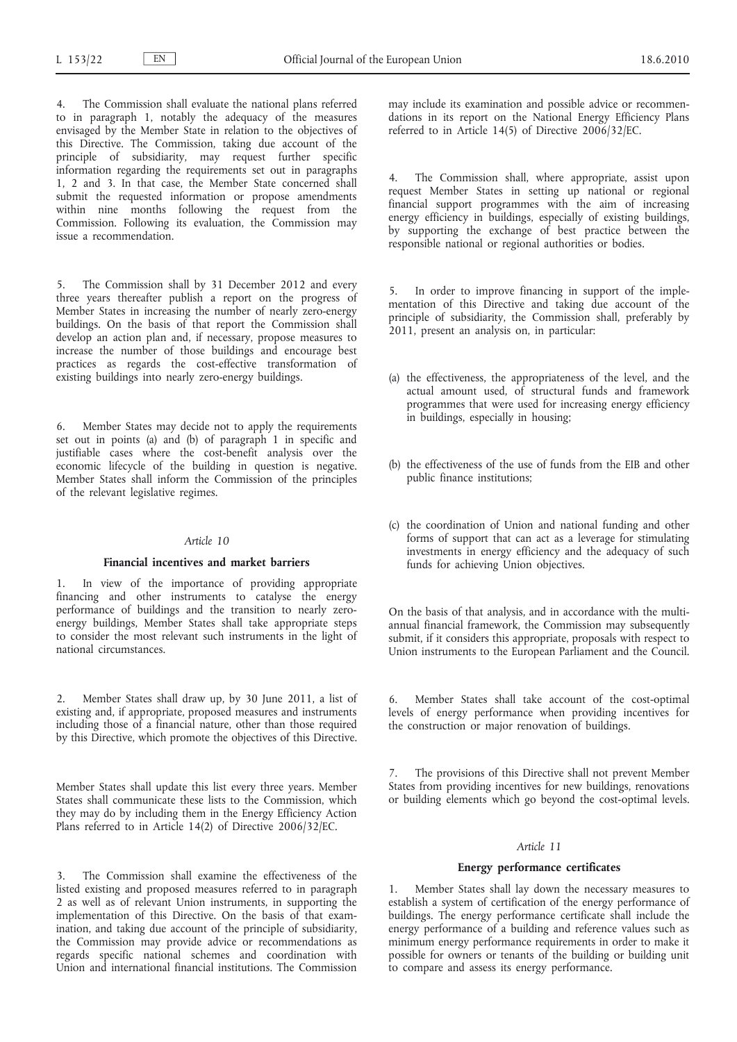The Commission shall evaluate the national plans referred to in paragraph 1, notably the adequacy of the measures envisaged by the Member State in relation to the objectives of this Directive. The Commission, taking due account of the principle of subsidiarity, may request further specific information regarding the requirements set out in paragraphs 1, 2 and 3. In that case, the Member State concerned shall submit the requested information or propose amendments within nine months following the request from the Commission. Following its evaluation, the Commission may issue a recommendation.

5. The Commission shall by 31 December 2012 and every three years thereafter publish a report on the progress of Member States in increasing the number of nearly zero-energy buildings. On the basis of that report the Commission shall develop an action plan and, if necessary, propose measures to increase the number of those buildings and encourage best practices as regards the cost-effective transformation of existing buildings into nearly zero-energy buildings.

6. Member States may decide not to apply the requirements set out in points (a) and (b) of paragraph 1 in specific and justifiable cases where the cost-benefit analysis over the economic lifecycle of the building in question is negative. Member States shall inform the Commission of the principles of the relevant legislative regimes.

#### *Article 10*

## **Financial incentives and market barriers**

1. In view of the importance of providing appropriate financing and other instruments to catalyse the energy performance of buildings and the transition to nearly zeroenergy buildings, Member States shall take appropriate steps to consider the most relevant such instruments in the light of national circumstances.

2. Member States shall draw up, by 30 June 2011, a list of existing and, if appropriate, proposed measures and instruments including those of a financial nature, other than those required by this Directive, which promote the objectives of this Directive.

Member States shall update this list every three years. Member States shall communicate these lists to the Commission, which they may do by including them in the Energy Efficiency Action Plans referred to in Article 14(2) of Directive 2006/32/EC.

3. The Commission shall examine the effectiveness of the listed existing and proposed measures referred to in paragraph 2 as well as of relevant Union instruments, in supporting the implementation of this Directive. On the basis of that examination, and taking due account of the principle of subsidiarity, the Commission may provide advice or recommendations as regards specific national schemes and coordination with Union and international financial institutions. The Commission

may include its examination and possible advice or recommendations in its report on the National Energy Efficiency Plans referred to in Article 14(5) of Directive 2006/32/EC.

4. The Commission shall, where appropriate, assist upon request Member States in setting up national or regional financial support programmes with the aim of increasing energy efficiency in buildings, especially of existing buildings, by supporting the exchange of best practice between the responsible national or regional authorities or bodies.

In order to improve financing in support of the implementation of this Directive and taking due account of the principle of subsidiarity, the Commission shall, preferably by 2011, present an analysis on, in particular:

- (a) the effectiveness, the appropriateness of the level, and the actual amount used, of structural funds and framework programmes that were used for increasing energy efficiency in buildings, especially in housing;
- (b) the effectiveness of the use of funds from the EIB and other public finance institutions;
- (c) the coordination of Union and national funding and other forms of support that can act as a leverage for stimulating investments in energy efficiency and the adequacy of such funds for achieving Union objectives.

On the basis of that analysis, and in accordance with the multiannual financial framework, the Commission may subsequently submit, if it considers this appropriate, proposals with respect to Union instruments to the European Parliament and the Council.

6. Member States shall take account of the cost-optimal levels of energy performance when providing incentives for the construction or major renovation of buildings.

7. The provisions of this Directive shall not prevent Member States from providing incentives for new buildings, renovations or building elements which go beyond the cost-optimal levels.

# *Article 11*

### **Energy performance certificates**

1. Member States shall lay down the necessary measures to establish a system of certification of the energy performance of buildings. The energy performance certificate shall include the energy performance of a building and reference values such as minimum energy performance requirements in order to make it possible for owners or tenants of the building or building unit to compare and assess its energy performance.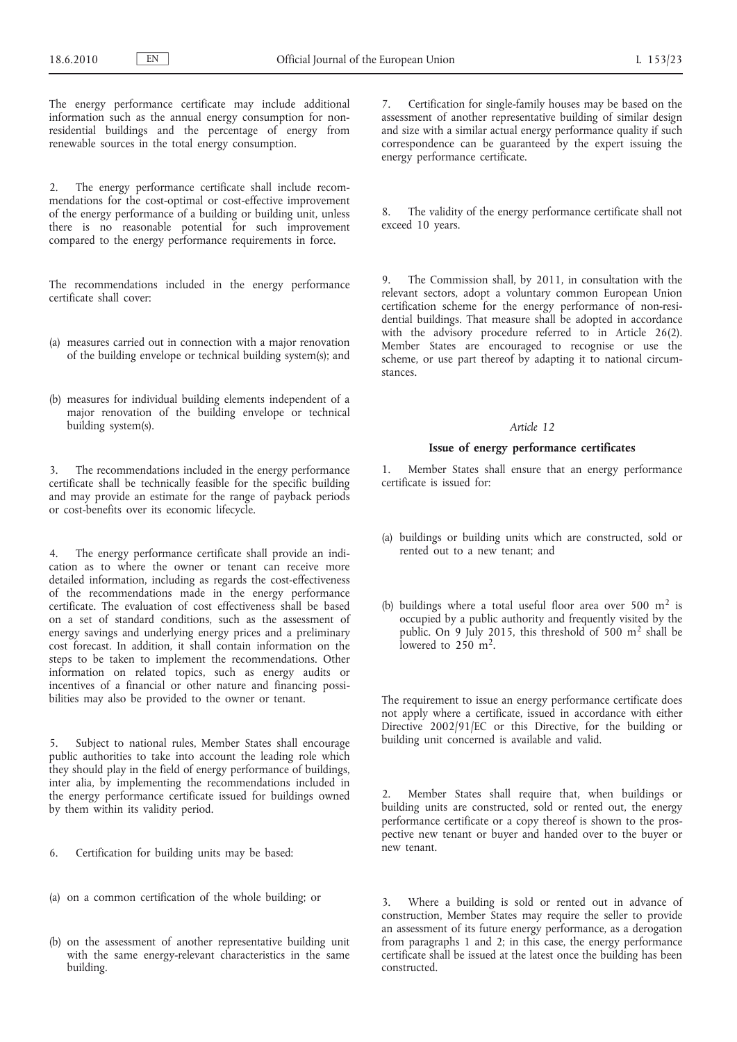The energy performance certificate may include additional information such as the annual energy consumption for nonresidential buildings and the percentage of energy from renewable sources in the total energy consumption.

2. The energy performance certificate shall include recommendations for the cost-optimal or cost-effective improvement of the energy performance of a building or building unit, unless there is no reasonable potential for such improvement compared to the energy performance requirements in force.

The recommendations included in the energy performance certificate shall cover:

- (a) measures carried out in connection with a major renovation of the building envelope or technical building system(s); and
- (b) measures for individual building elements independent of a major renovation of the building envelope or technical building system(s).

The recommendations included in the energy performance certificate shall be technically feasible for the specific building and may provide an estimate for the range of payback periods or cost-benefits over its economic lifecycle.

4. The energy performance certificate shall provide an indication as to where the owner or tenant can receive more detailed information, including as regards the cost-effectiveness of the recommendations made in the energy performance certificate. The evaluation of cost effectiveness shall be based on a set of standard conditions, such as the assessment of energy savings and underlying energy prices and a preliminary cost forecast. In addition, it shall contain information on the steps to be taken to implement the recommendations. Other information on related topics, such as energy audits or incentives of a financial or other nature and financing possibilities may also be provided to the owner or tenant.

5. Subject to national rules, Member States shall encourage public authorities to take into account the leading role which they should play in the field of energy performance of buildings, inter alia, by implementing the recommendations included in the energy performance certificate issued for buildings owned by them within its validity period.

- 6. Certification for building units may be based:
- (a) on a common certification of the whole building; or
- (b) on the assessment of another representative building unit with the same energy-relevant characteristics in the same building.

7. Certification for single-family houses may be based on the assessment of another representative building of similar design and size with a similar actual energy performance quality if such correspondence can be guaranteed by the expert issuing the energy performance certificate.

8. The validity of the energy performance certificate shall not exceed 10 years.

9. The Commission shall, by 2011, in consultation with the relevant sectors, adopt a voluntary common European Union certification scheme for the energy performance of non-residential buildings. That measure shall be adopted in accordance with the advisory procedure referred to in Article 26(2). Member States are encouraged to recognise or use the scheme, or use part thereof by adapting it to national circumstances.

### *Article 12*

### **Issue of energy performance certificates**

1. Member States shall ensure that an energy performance certificate is issued for:

- (a) buildings or building units which are constructed, sold or rented out to a new tenant; and
- (b) buildings where a total useful floor area over 500  $m<sup>2</sup>$  is occupied by a public authority and frequently visited by the public. On 9 July 2015, this threshold of 500 m<sup>2</sup> shall be lowered to  $250 \text{ m}^2$ .

The requirement to issue an energy performance certificate does not apply where a certificate, issued in accordance with either Directive 2002/91/EC or this Directive, for the building or building unit concerned is available and valid.

2. Member States shall require that, when buildings or building units are constructed, sold or rented out, the energy performance certificate or a copy thereof is shown to the prospective new tenant or buyer and handed over to the buyer or new tenant.

3. Where a building is sold or rented out in advance of construction, Member States may require the seller to provide an assessment of its future energy performance, as a derogation from paragraphs 1 and 2; in this case, the energy performance certificate shall be issued at the latest once the building has been constructed.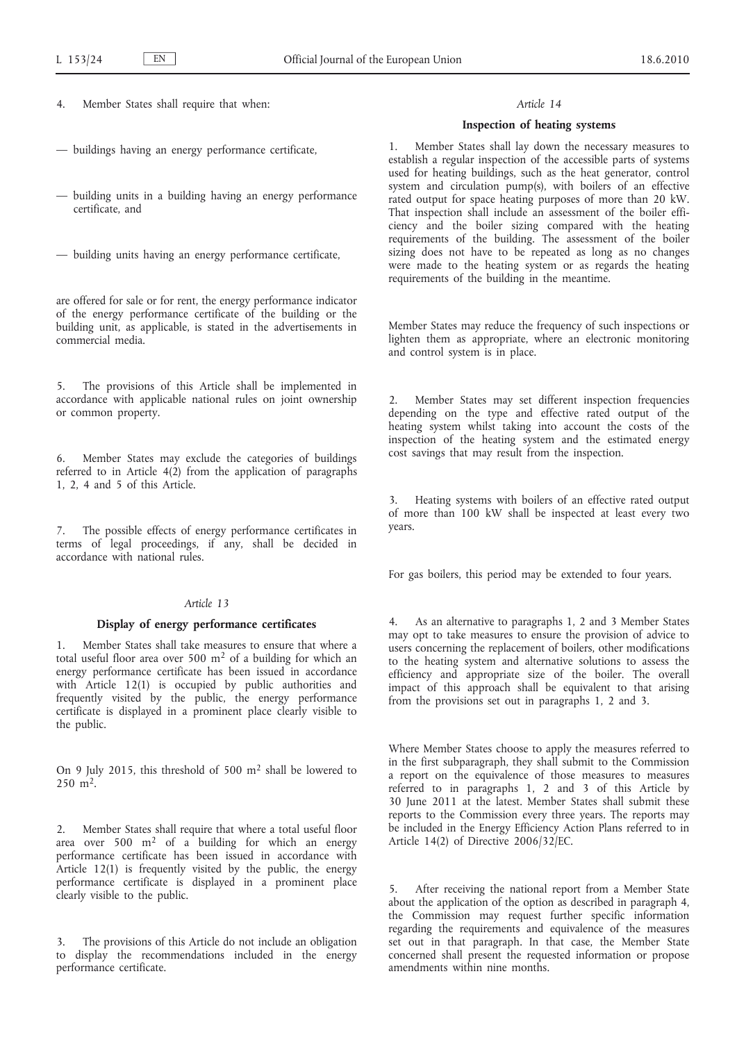4. Member States shall require that when:

- buildings having an energy performance certificate,
- building units in a building having an energy performance certificate, and
- building units having an energy performance certificate,

are offered for sale or for rent, the energy performance indicator of the energy performance certificate of the building or the building unit, as applicable, is stated in the advertisements in commercial media.

5. The provisions of this Article shall be implemented in accordance with applicable national rules on joint ownership or common property.

6. Member States may exclude the categories of buildings referred to in Article  $4(2)$  from the application of paragraphs 1, 2, 4 and 5 of this Article.

7. The possible effects of energy performance certificates in terms of legal proceedings, if any, shall be decided in accordance with national rules.

# *Article 13*

## **Display of energy performance certificates**

Member States shall take measures to ensure that where a total useful floor area over 500  $m<sup>2</sup>$  of a building for which an energy performance certificate has been issued in accordance with Article 12(1) is occupied by public authorities and frequently visited by the public, the energy performance certificate is displayed in a prominent place clearly visible to the public.

On 9 July 2015, this threshold of 500 m<sup>2</sup> shall be lowered to  $250 \text{ m}^2$ .

2. Member States shall require that where a total useful floor area over 500  $m^2$  of a building for which an energy performance certificate has been issued in accordance with Article 12(1) is frequently visited by the public, the energy performance certificate is displayed in a prominent place clearly visible to the public.

The provisions of this Article do not include an obligation to display the recommendations included in the energy performance certificate.

## *Article 14*

## **Inspection of heating systems**

1. Member States shall lay down the necessary measures to establish a regular inspection of the accessible parts of systems used for heating buildings, such as the heat generator, control system and circulation pump(s), with boilers of an effective rated output for space heating purposes of more than 20 kW. That inspection shall include an assessment of the boiler efficiency and the boiler sizing compared with the heating requirements of the building. The assessment of the boiler sizing does not have to be repeated as long as no changes were made to the heating system or as regards the heating requirements of the building in the meantime.

Member States may reduce the frequency of such inspections or lighten them as appropriate, where an electronic monitoring and control system is in place.

2. Member States may set different inspection frequencies depending on the type and effective rated output of the heating system whilst taking into account the costs of the inspection of the heating system and the estimated energy cost savings that may result from the inspection.

3. Heating systems with boilers of an effective rated output of more than 100 kW shall be inspected at least every two years.

For gas boilers, this period may be extended to four years.

4. As an alternative to paragraphs 1, 2 and 3 Member States may opt to take measures to ensure the provision of advice to users concerning the replacement of boilers, other modifications to the heating system and alternative solutions to assess the efficiency and appropriate size of the boiler. The overall impact of this approach shall be equivalent to that arising from the provisions set out in paragraphs 1, 2 and 3.

Where Member States choose to apply the measures referred to in the first subparagraph, they shall submit to the Commission a report on the equivalence of those measures to measures referred to in paragraphs 1, 2 and 3 of this Article by 30 June 2011 at the latest. Member States shall submit these reports to the Commission every three years. The reports may be included in the Energy Efficiency Action Plans referred to in Article 14(2) of Directive 2006/32/EC.

After receiving the national report from a Member State about the application of the option as described in paragraph 4, the Commission may request further specific information regarding the requirements and equivalence of the measures set out in that paragraph. In that case, the Member State concerned shall present the requested information or propose amendments within nine months.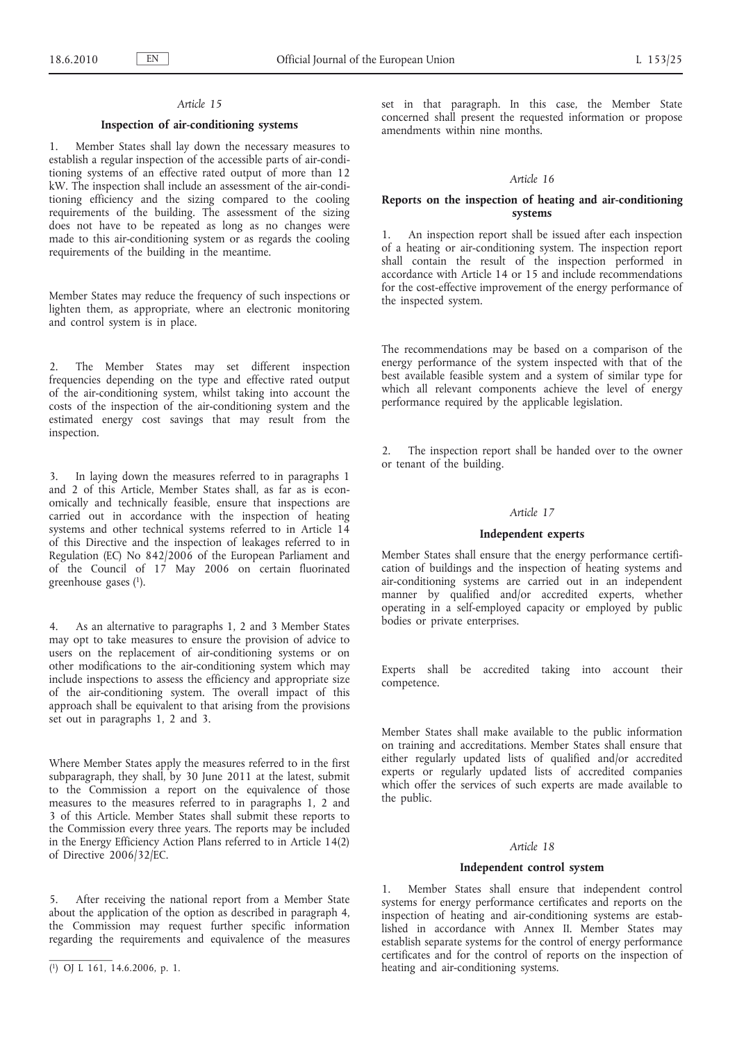#### *Article 15*

# **Inspection of air-conditioning systems**

1. Member States shall lay down the necessary measures to establish a regular inspection of the accessible parts of air-conditioning systems of an effective rated output of more than 12 kW. The inspection shall include an assessment of the air-conditioning efficiency and the sizing compared to the cooling requirements of the building. The assessment of the sizing does not have to be repeated as long as no changes were made to this air-conditioning system or as regards the cooling requirements of the building in the meantime.

Member States may reduce the frequency of such inspections or lighten them, as appropriate, where an electronic monitoring and control system is in place.

2. The Member States may set different inspection frequencies depending on the type and effective rated output of the air-conditioning system, whilst taking into account the costs of the inspection of the air-conditioning system and the estimated energy cost savings that may result from the inspection.

3. In laying down the measures referred to in paragraphs 1 and 2 of this Article, Member States shall, as far as is economically and technically feasible, ensure that inspections are carried out in accordance with the inspection of heating systems and other technical systems referred to in Article 14 of this Directive and the inspection of leakages referred to in Regulation (EC) No 842/2006 of the European Parliament and of the Council of 17 May 2006 on certain fluorinated greenhouse gases (1).

4. As an alternative to paragraphs 1, 2 and 3 Member States may opt to take measures to ensure the provision of advice to users on the replacement of air-conditioning systems or on other modifications to the air-conditioning system which may include inspections to assess the efficiency and appropriate size of the air-conditioning system. The overall impact of this approach shall be equivalent to that arising from the provisions set out in paragraphs 1, 2 and 3.

Where Member States apply the measures referred to in the first subparagraph, they shall, by 30 June 2011 at the latest, submit to the Commission a report on the equivalence of those measures to the measures referred to in paragraphs 1, 2 and 3 of this Article. Member States shall submit these reports to the Commission every three years. The reports may be included in the Energy Efficiency Action Plans referred to in Article 14(2) of Directive 2006/32/EC.

5. After receiving the national report from a Member State about the application of the option as described in paragraph 4, the Commission may request further specific information regarding the requirements and equivalence of the measures set in that paragraph. In this case, the Member State concerned shall present the requested information or propose amendments within nine months.

# *Article 16*

## **Reports on the inspection of heating and air-conditioning systems**

1. An inspection report shall be issued after each inspection of a heating or air-conditioning system. The inspection report shall contain the result of the inspection performed in accordance with Article 14 or 15 and include recommendations for the cost-effective improvement of the energy performance of the inspected system.

The recommendations may be based on a comparison of the energy performance of the system inspected with that of the best available feasible system and a system of similar type for which all relevant components achieve the level of energy performance required by the applicable legislation.

The inspection report shall be handed over to the owner or tenant of the building.

## *Article 17*

### **Independent experts**

Member States shall ensure that the energy performance certification of buildings and the inspection of heating systems and air-conditioning systems are carried out in an independent manner by qualified and/or accredited experts, whether operating in a self-employed capacity or employed by public bodies or private enterprises.

Experts shall be accredited taking into account their competence.

Member States shall make available to the public information on training and accreditations. Member States shall ensure that either regularly updated lists of qualified and/or accredited experts or regularly updated lists of accredited companies which offer the services of such experts are made available to the public.

## *Article 18*

#### **Independent control system**

1. Member States shall ensure that independent control systems for energy performance certificates and reports on the inspection of heating and air-conditioning systems are established in accordance with Annex II. Member States may establish separate systems for the control of energy performance certificates and for the control of reports on the inspection of heating and air-conditioning systems.

<sup>(</sup> 1) OJ L 161, 14.6.2006, p. 1.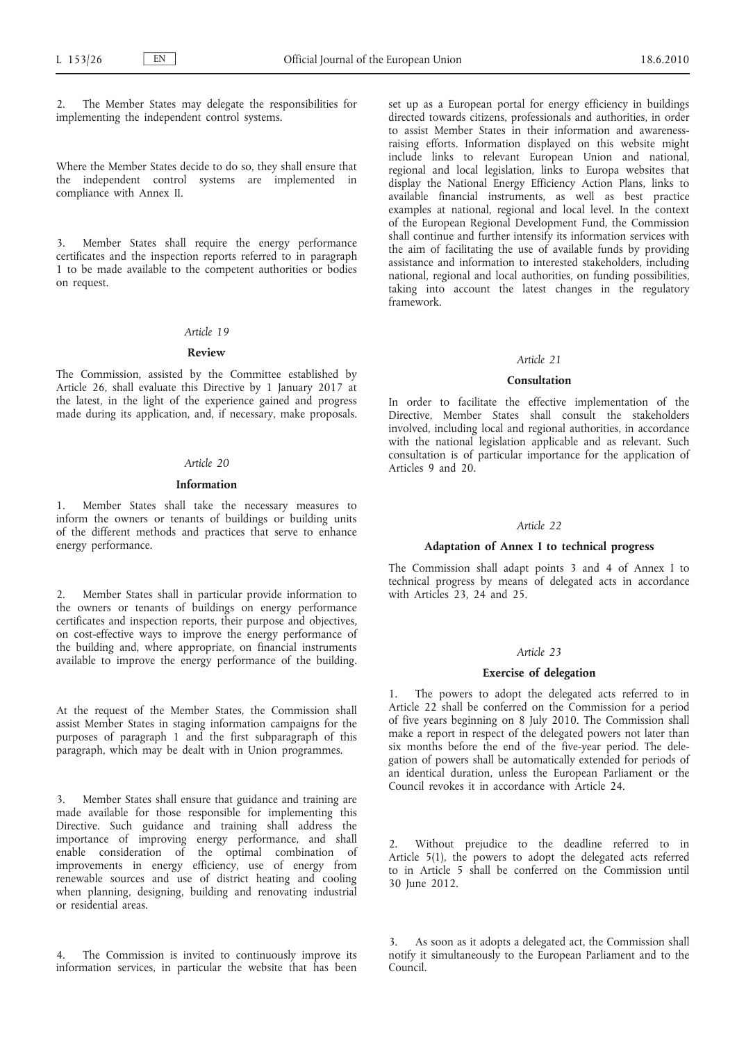The Member States may delegate the responsibilities for implementing the independent control systems.

Where the Member States decide to do so, they shall ensure that the independent control systems are implemented in compliance with Annex II.

3. Member States shall require the energy performance certificates and the inspection reports referred to in paragraph 1 to be made available to the competent authorities or bodies on request.

# *Article 19*

#### **Review**

The Commission, assisted by the Committee established by Article 26, shall evaluate this Directive by 1 January 2017 at the latest, in the light of the experience gained and progress made during its application, and, if necessary, make proposals.

#### *Article 20*

# **Information**

Member States shall take the necessary measures to inform the owners or tenants of buildings or building units of the different methods and practices that serve to enhance energy performance.

2. Member States shall in particular provide information to the owners or tenants of buildings on energy performance certificates and inspection reports, their purpose and objectives, on cost-effective ways to improve the energy performance of the building and, where appropriate, on financial instruments available to improve the energy performance of the building.

At the request of the Member States, the Commission shall assist Member States in staging information campaigns for the purposes of paragraph 1 and the first subparagraph of this paragraph, which may be dealt with in Union programmes.

3. Member States shall ensure that guidance and training are made available for those responsible for implementing this Directive. Such guidance and training shall address the importance of improving energy performance, and shall enable consideration of the optimal combination of improvements in energy efficiency, use of energy from renewable sources and use of district heating and cooling when planning, designing, building and renovating industrial or residential areas.

4. The Commission is invited to continuously improve its information services, in particular the website that has been

set up as a European portal for energy efficiency in buildings directed towards citizens, professionals and authorities, in order to assist Member States in their information and awarenessraising efforts. Information displayed on this website might include links to relevant European Union and national, regional and local legislation, links to Europa websites that display the National Energy Efficiency Action Plans, links to available financial instruments, as well as best practice examples at national, regional and local level. In the context of the European Regional Development Fund, the Commission shall continue and further intensify its information services with the aim of facilitating the use of available funds by providing assistance and information to interested stakeholders, including national, regional and local authorities, on funding possibilities, taking into account the latest changes in the regulatory framework.

### *Article 21*

#### **Consultation**

In order to facilitate the effective implementation of the Directive, Member States shall consult the stakeholders involved, including local and regional authorities, in accordance with the national legislation applicable and as relevant. Such consultation is of particular importance for the application of Articles 9 and 20.

### *Article 22*

## **Adaptation of Annex I to technical progress**

The Commission shall adapt points 3 and 4 of Annex I to technical progress by means of delegated acts in accordance with Articles 23, 24 and 25.

#### *Article 23*

#### **Exercise of delegation**

The powers to adopt the delegated acts referred to in Article 22 shall be conferred on the Commission for a period of five years beginning on 8 July 2010. The Commission shall make a report in respect of the delegated powers not later than six months before the end of the five-year period. The delegation of powers shall be automatically extended for periods of an identical duration, unless the European Parliament or the Council revokes it in accordance with Article 24.

Without prejudice to the deadline referred to in Article 5(1), the powers to adopt the delegated acts referred to in Article 5 shall be conferred on the Commission until 30 June 2012.

3. As soon as it adopts a delegated act, the Commission shall notify it simultaneously to the European Parliament and to the Council.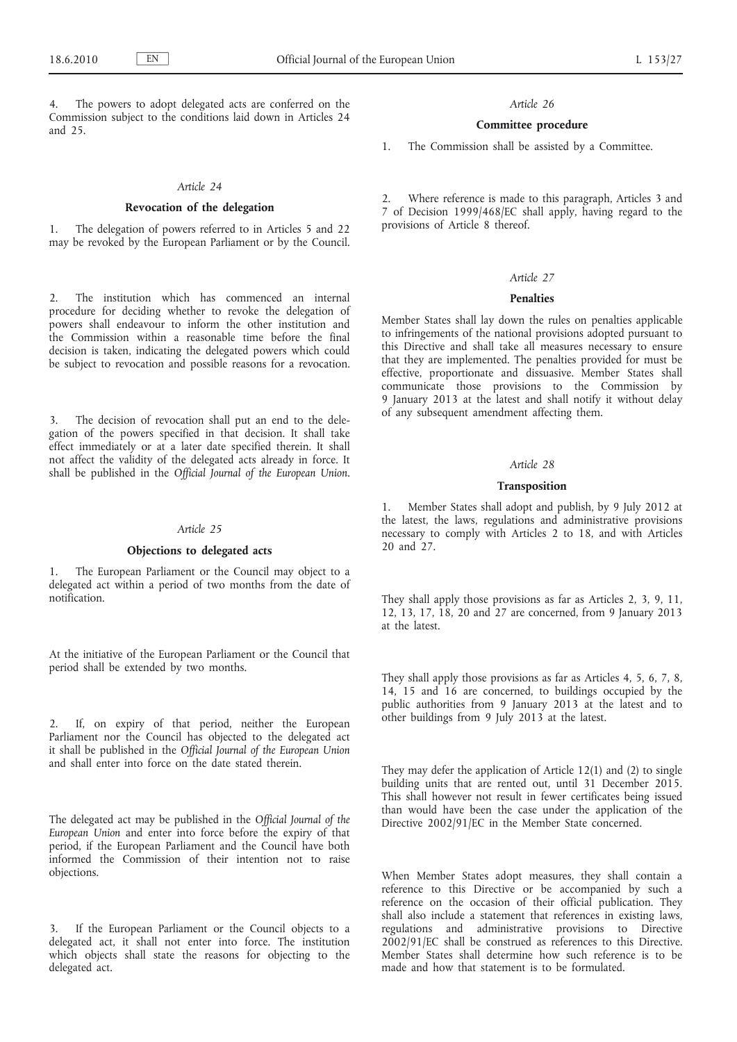The powers to adopt delegated acts are conferred on the Commission subject to the conditions laid down in Articles 24 and 25.

#### *Article 24*

### **Revocation of the delegation**

1. The delegation of powers referred to in Articles 5 and 22 may be revoked by the European Parliament or by the Council.

2. The institution which has commenced an internal procedure for deciding whether to revoke the delegation of powers shall endeavour to inform the other institution and the Commission within a reasonable time before the final decision is taken, indicating the delegated powers which could be subject to revocation and possible reasons for a revocation.

The decision of revocation shall put an end to the delegation of the powers specified in that decision. It shall take effect immediately or at a later date specified therein. It shall not affect the validity of the delegated acts already in force. It shall be published in the *Official Journal of the European Union*.

#### *Article 25*

# **Objections to delegated acts**

1. The European Parliament or the Council may object to a delegated act within a period of two months from the date of notification.

At the initiative of the European Parliament or the Council that period shall be extended by two months.

2. If, on expiry of that period, neither the European Parliament nor the Council has objected to the delegated act it shall be published in the *Official Journal of the European Union* and shall enter into force on the date stated therein.

The delegated act may be published in the *Official Journal of the European Union* and enter into force before the expiry of that period, if the European Parliament and the Council have both informed the Commission of their intention not to raise objections.

3. If the European Parliament or the Council objects to a delegated act, it shall not enter into force. The institution which objects shall state the reasons for objecting to the delegated act.

#### *Article 26*

# **Committee procedure**

1. The Commission shall be assisted by a Committee.

2. Where reference is made to this paragraph, Articles 3 and 7 of Decision 1999/468/EC shall apply, having regard to the provisions of Article 8 thereof.

#### *Article 27*

### **Penalties**

Member States shall lay down the rules on penalties applicable to infringements of the national provisions adopted pursuant to this Directive and shall take all measures necessary to ensure that they are implemented. The penalties provided for must be effective, proportionate and dissuasive. Member States shall communicate those provisions to the Commission by 9 January 2013 at the latest and shall notify it without delay of any subsequent amendment affecting them.

#### *Article 28*

#### **Transposition**

1. Member States shall adopt and publish, by 9 July 2012 at the latest, the laws, regulations and administrative provisions necessary to comply with Articles 2 to 18, and with Articles 20 and 27.

They shall apply those provisions as far as Articles 2, 3, 9, 11, 12, 13, 17, 18, 20 and 27 are concerned, from 9 January 2013 at the latest.

They shall apply those provisions as far as Articles 4, 5, 6, 7, 8, 14, 15 and 16 are concerned, to buildings occupied by the public authorities from 9 January 2013 at the latest and to other buildings from 9 July 2013 at the latest.

They may defer the application of Article 12(1) and (2) to single building units that are rented out, until 31 December 2015. This shall however not result in fewer certificates being issued than would have been the case under the application of the Directive 2002/91/EC in the Member State concerned.

When Member States adopt measures, they shall contain a reference to this Directive or be accompanied by such a reference on the occasion of their official publication. They shall also include a statement that references in existing laws, regulations and administrative provisions to Directive 2002/91/EC shall be construed as references to this Directive. Member States shall determine how such reference is to be made and how that statement is to be formulated.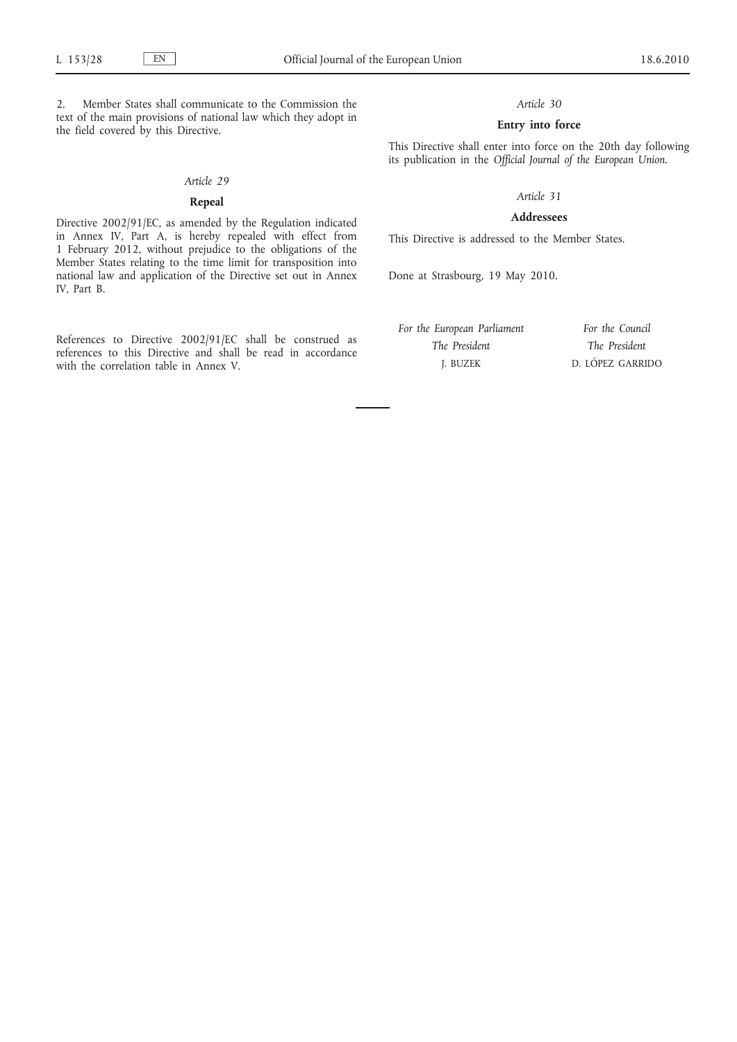2. Member States shall communicate to the Commission the text of the main provisions of national law which they adopt in the field covered by this Directive.

#### *Article 29*

# **Repeal**

Directive 2002/91/EC, as amended by the Regulation indicated in Annex IV, Part A, is hereby repealed with effect from 1 February 2012, without prejudice to the obligations of the Member States relating to the time limit for transposition into national law and application of the Directive set out in Annex IV, Part B.

References to Directive 2002/91/EC shall be construed as references to this Directive and shall be read in accordance with the correlation table in Annex V.

# *Article 30*

# **Entry into force**

This Directive shall enter into force on the 20th day following its publication in the *Official Journal of the European Union*.

# *Article 31*

### **Addressees**

This Directive is addressed to the Member States.

Done at Strasbourg, 19 May 2010.

*For the European Parliament The President* J. BUZEK

*For the Council The President* D. LÓPEZ GARRIDO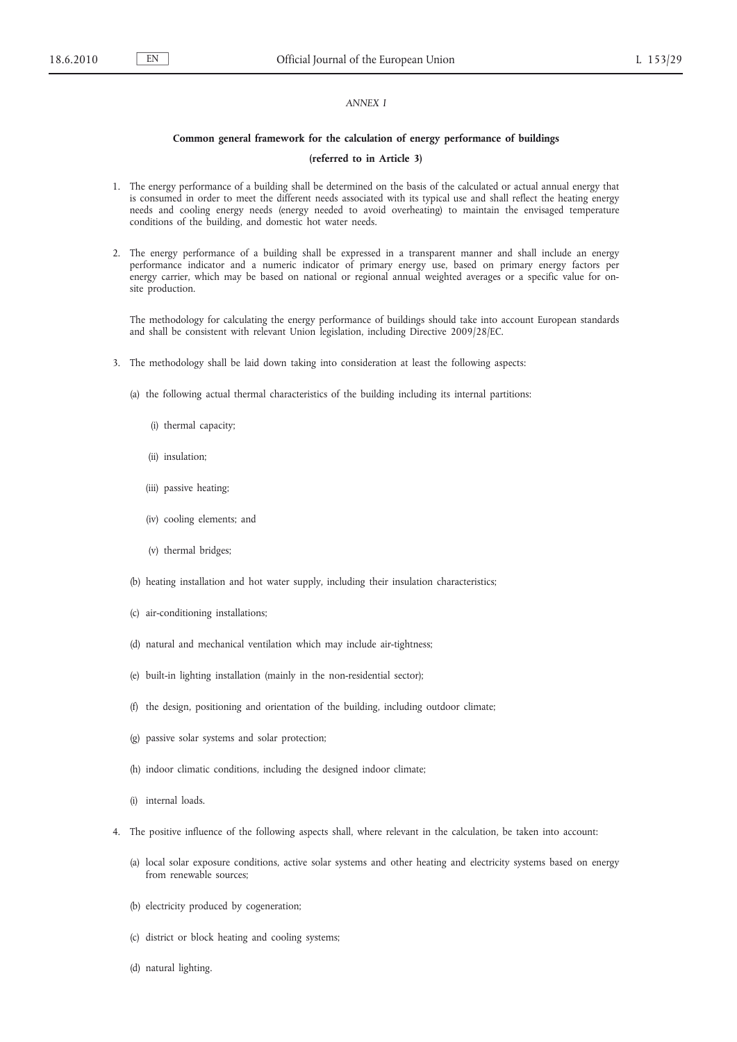# *ANNEX I*

#### **Common general framework for the calculation of energy performance of buildings**

# **(referred to in Article 3)**

- 1. The energy performance of a building shall be determined on the basis of the calculated or actual annual energy that is consumed in order to meet the different needs associated with its typical use and shall reflect the heating energy needs and cooling energy needs (energy needed to avoid overheating) to maintain the envisaged temperature conditions of the building, and domestic hot water needs.
- 2. The energy performance of a building shall be expressed in a transparent manner and shall include an energy performance indicator and a numeric indicator of primary energy use, based on primary energy factors per energy carrier, which may be based on national or regional annual weighted averages or a specific value for onsite production.

The methodology for calculating the energy performance of buildings should take into account European standards and shall be consistent with relevant Union legislation, including Directive 2009/28/EC.

- 3. The methodology shall be laid down taking into consideration at least the following aspects:
	- (a) the following actual thermal characteristics of the building including its internal partitions:
		- (i) thermal capacity;
		- (ii) insulation;
		- (iii) passive heating;
		- (iv) cooling elements; and
		- (v) thermal bridges;
	- (b) heating installation and hot water supply, including their insulation characteristics;
	- (c) air-conditioning installations;
	- (d) natural and mechanical ventilation which may include air-tightness;
	- (e) built-in lighting installation (mainly in the non-residential sector);
	- (f) the design, positioning and orientation of the building, including outdoor climate;
	- (g) passive solar systems and solar protection;
	- (h) indoor climatic conditions, including the designed indoor climate;
	- (i) internal loads.
- 4. The positive influence of the following aspects shall, where relevant in the calculation, be taken into account:
	- (a) local solar exposure conditions, active solar systems and other heating and electricity systems based on energy from renewable sources;
	- (b) electricity produced by cogeneration;
	- (c) district or block heating and cooling systems;
	- (d) natural lighting.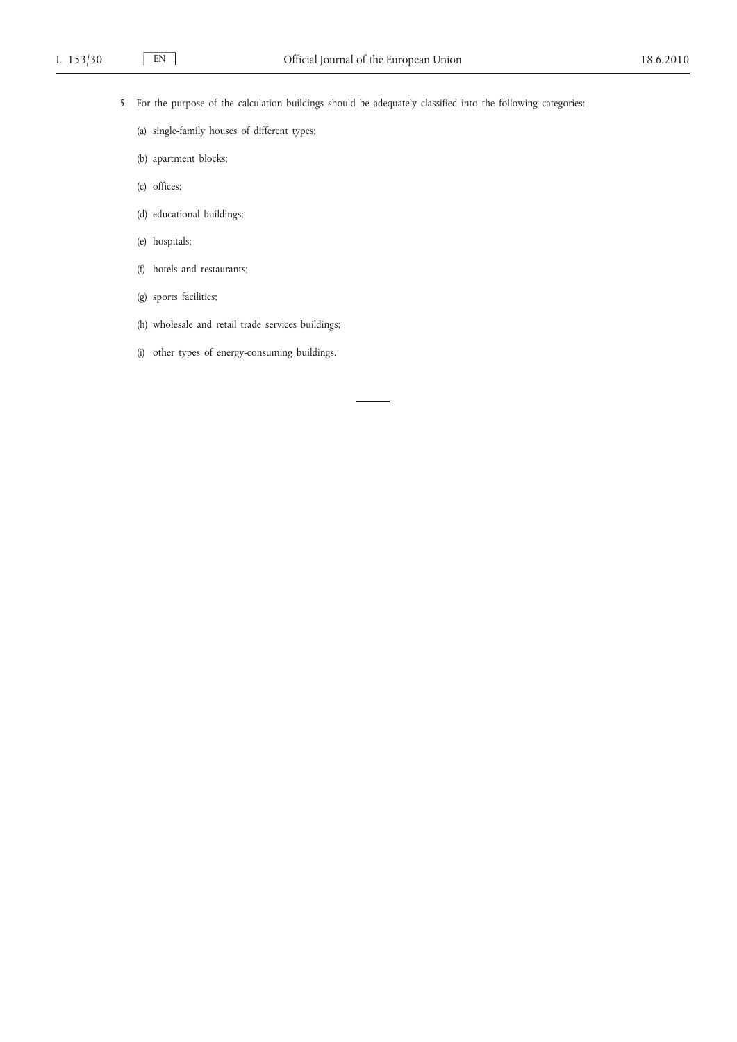- 5. For the purpose of the calculation buildings should be adequately classified into the following categories:
	- (a) single-family houses of different types;
	- (b) apartment blocks;
	- (c) offices;
	- (d) educational buildings;
	- (e) hospitals;
	- (f) hotels and restaurants;
	- (g) sports facilities;
	- (h) wholesale and retail trade services buildings;
	- (i) other types of energy-consuming buildings.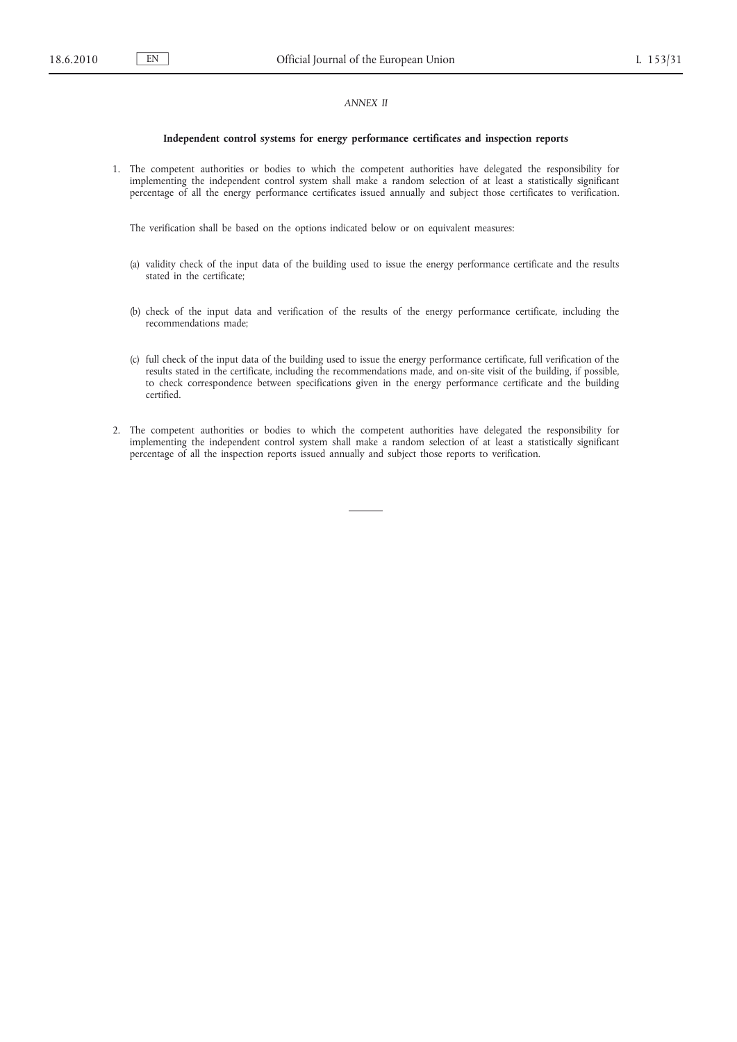# *ANNEX II*

#### **Independent control systems for energy performance certificates and inspection reports**

1. The competent authorities or bodies to which the competent authorities have delegated the responsibility for implementing the independent control system shall make a random selection of at least a statistically significant percentage of all the energy performance certificates issued annually and subject those certificates to verification.

The verification shall be based on the options indicated below or on equivalent measures:

- (a) validity check of the input data of the building used to issue the energy performance certificate and the results stated in the certificate;
- (b) check of the input data and verification of the results of the energy performance certificate, including the recommendations made;
- (c) full check of the input data of the building used to issue the energy performance certificate, full verification of the results stated in the certificate, including the recommendations made, and on-site visit of the building, if possible, to check correspondence between specifications given in the energy performance certificate and the building certified.
- 2. The competent authorities or bodies to which the competent authorities have delegated the responsibility for implementing the independent control system shall make a random selection of at least a statistically significant percentage of all the inspection reports issued annually and subject those reports to verification.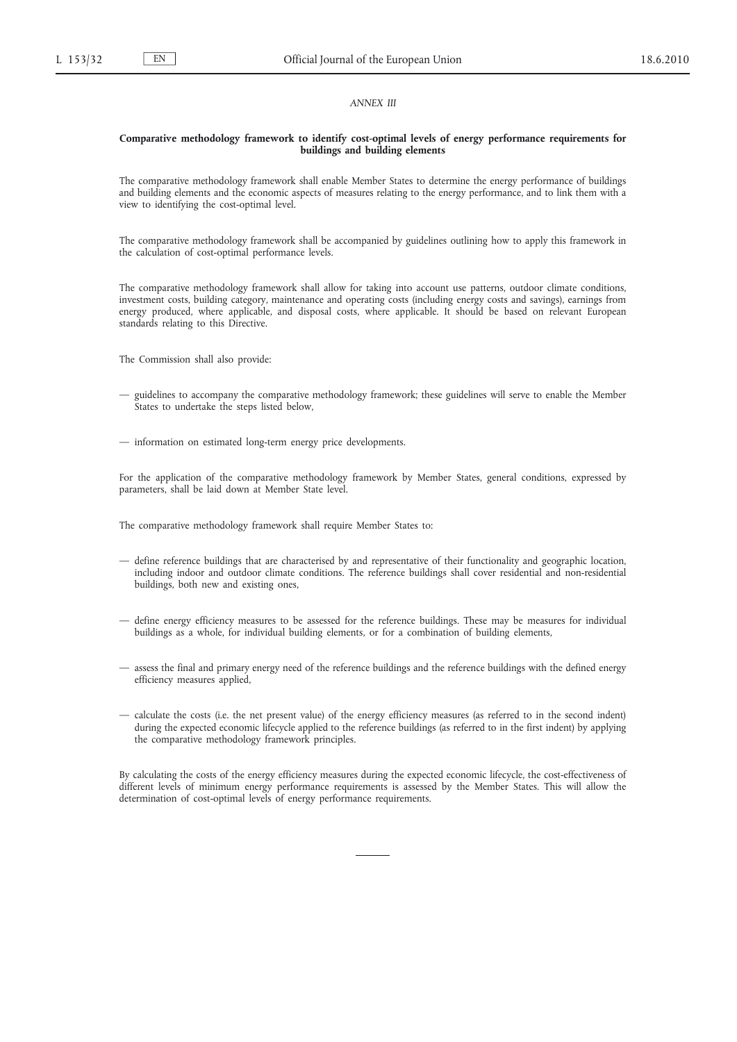#### *ANNEX III*

### **Comparative methodology framework to identify cost-optimal levels of energy performance requirements for buildings and building elements**

The comparative methodology framework shall enable Member States to determine the energy performance of buildings and building elements and the economic aspects of measures relating to the energy performance, and to link them with a view to identifying the cost-optimal level.

The comparative methodology framework shall be accompanied by guidelines outlining how to apply this framework in the calculation of cost-optimal performance levels.

The comparative methodology framework shall allow for taking into account use patterns, outdoor climate conditions, investment costs, building category, maintenance and operating costs (including energy costs and savings), earnings from energy produced, where applicable, and disposal costs, where applicable. It should be based on relevant European standards relating to this Directive.

The Commission shall also provide:

- guidelines to accompany the comparative methodology framework; these guidelines will serve to enable the Member States to undertake the steps listed below,
- information on estimated long-term energy price developments.

For the application of the comparative methodology framework by Member States, general conditions, expressed by parameters, shall be laid down at Member State level.

The comparative methodology framework shall require Member States to:

- define reference buildings that are characterised by and representative of their functionality and geographic location, including indoor and outdoor climate conditions. The reference buildings shall cover residential and non-residential buildings, both new and existing ones,
- define energy efficiency measures to be assessed for the reference buildings. These may be measures for individual buildings as a whole, for individual building elements, or for a combination of building elements,
- assess the final and primary energy need of the reference buildings and the reference buildings with the defined energy efficiency measures applied,
- calculate the costs (i.e. the net present value) of the energy efficiency measures (as referred to in the second indent) during the expected economic lifecycle applied to the reference buildings (as referred to in the first indent) by applying the comparative methodology framework principles.

By calculating the costs of the energy efficiency measures during the expected economic lifecycle, the cost-effectiveness of different levels of minimum energy performance requirements is assessed by the Member States. This will allow the determination of cost-optimal levels of energy performance requirements.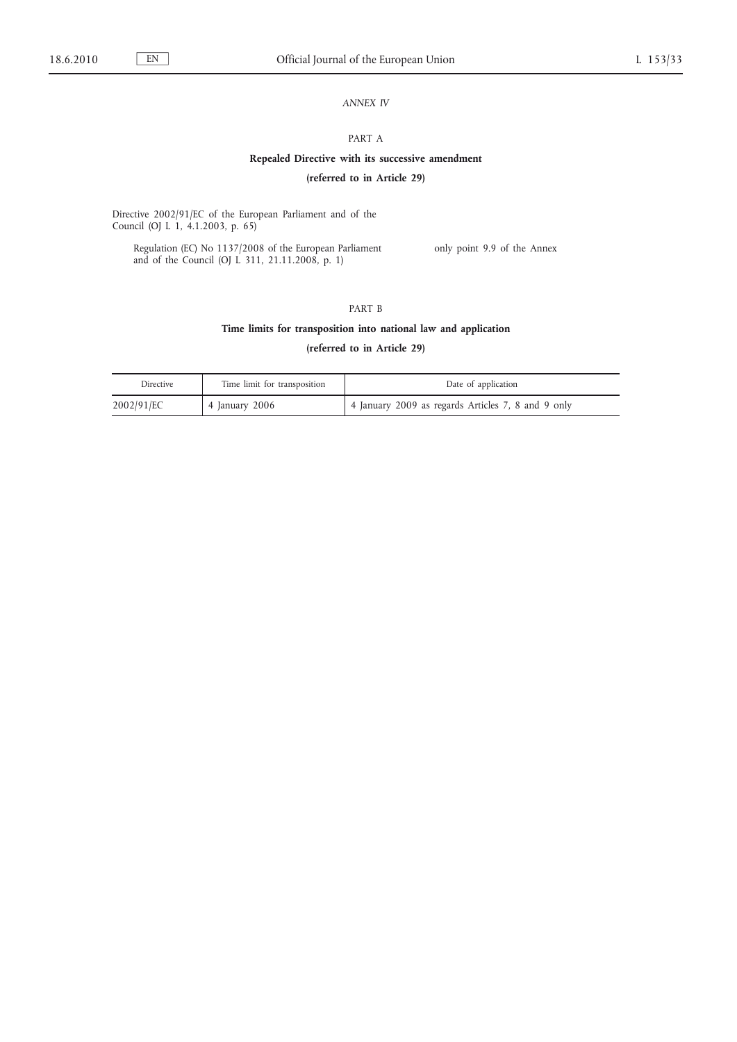# *ANNEX IV*

# PART A

# **Repealed Directive with its successive amendment**

# **(referred to in Article 29)**

Directive 2002/91/EC of the European Parliament and of the Council (OJ L 1, 4.1.2003, p. 65)

Regulation (EC) No 1137/2008 of the European Parliament and of the Council (OJ L 311, 21.11.2008, p. 1)

only point 9.9 of the Annex

# PART B

# **Time limits for transposition into national law and application**

**(referred to in Article 29)**

| <b>Directive</b> | Time limit for transposition | Date of application                                |
|------------------|------------------------------|----------------------------------------------------|
| 2002/91/EC       | ' 4 January 2006             | 4 January 2009 as regards Articles 7, 8 and 9 only |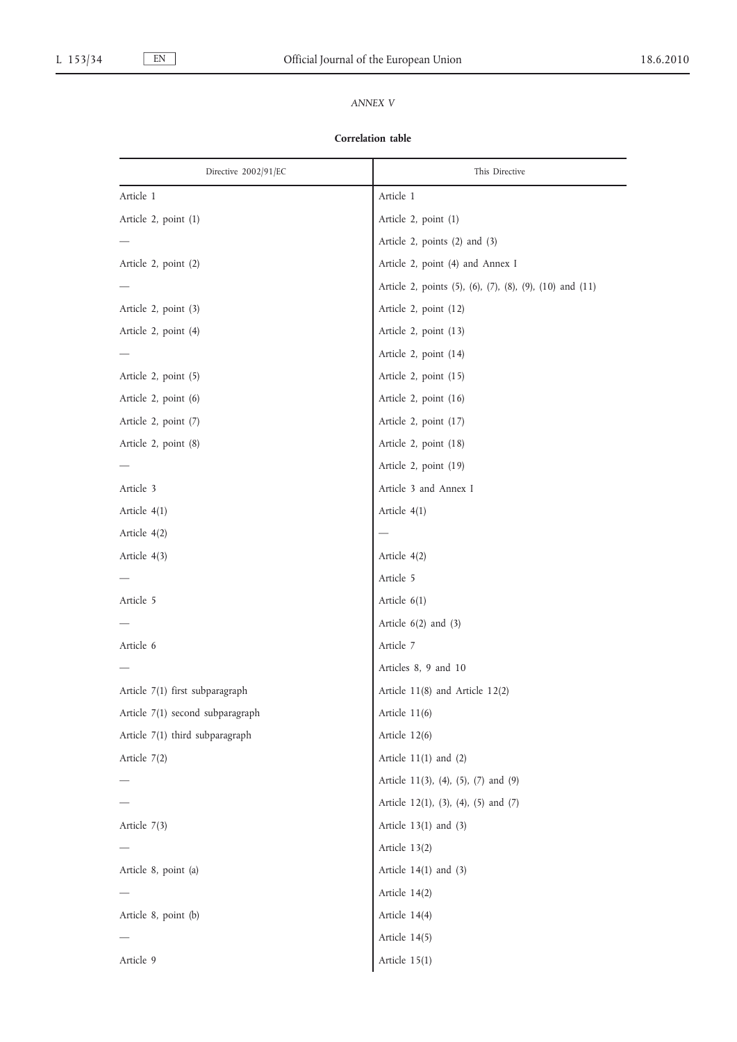# *ANNEX V*

# **Correlation table**

| Directive 2002/91/EC             | This Directive                                           |
|----------------------------------|----------------------------------------------------------|
| Article 1                        | Article 1                                                |
| Article 2, point (1)             | Article 2, point (1)                                     |
|                                  | Article 2, points (2) and (3)                            |
| Article 2, point (2)             | Article 2, point (4) and Annex I                         |
|                                  | Article 2, points (5), (6), (7), (8), (9), (10) and (11) |
| Article 2, point (3)             | Article 2, point (12)                                    |
| Article 2, point (4)             | Article 2, point (13)                                    |
|                                  | Article 2, point (14)                                    |
| Article 2, point (5)             | Article 2, point (15)                                    |
| Article 2, point (6)             | Article 2, point (16)                                    |
| Article 2, point (7)             | Article 2, point (17)                                    |
| Article 2, point (8)             | Article 2, point (18)                                    |
|                                  | Article 2, point (19)                                    |
| Article 3                        | Article 3 and Annex I                                    |
| Article 4(1)                     | Article $4(1)$                                           |
| Article 4(2)                     |                                                          |
| Article 4(3)                     | Article 4(2)                                             |
|                                  | Article 5                                                |
| Article 5                        | Article 6(1)                                             |
|                                  | Article $6(2)$ and $(3)$                                 |
| Article 6                        | Article 7                                                |
|                                  | Articles 8, 9 and 10                                     |
| Article 7(1) first subparagraph  | Article 11(8) and Article 12(2)                          |
| Article 7(1) second subparagraph | Article $11(6)$                                          |
| Article 7(1) third subparagraph  | Article 12(6)                                            |
| Article 7(2)                     | Article $11(1)$ and $(2)$                                |
|                                  | Article 11(3), (4), (5), (7) and (9)                     |
|                                  | Article 12(1), (3), (4), (5) and (7)                     |
| Article 7(3)                     | Article $13(1)$ and $(3)$                                |
|                                  | Article 13(2)                                            |
| Article 8, point (a)             | Article $14(1)$ and $(3)$                                |
|                                  | Article 14(2)                                            |
| Article 8, point (b)             | Article 14(4)                                            |
|                                  | Article 14(5)                                            |
| Article 9                        | Article 15(1)                                            |